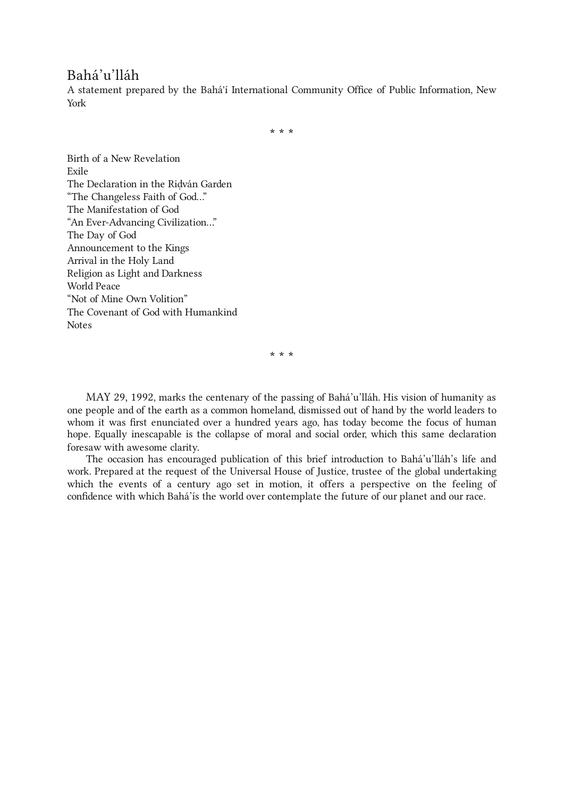# Bahá'u'lláh

A statement prepared by the Bahá'í International Community Office of Public Information, New York

\* \* \*

Birth of a New [Revelation](#page-2-0) [Exile](#page-4-0) The [Declaration](#page-7-0) in the Riḍván Garden "The [Changeless](#page-9-0) Faith of God…" The [Manifestation](#page-12-0) of God "An [Ever-Advancing](#page-14-0) Civilization…" The [Day](#page-16-0) of God [Announcement](#page-18-0) to the Kings [Arrival](#page-21-0) in the Holy Land Religion as Light and [Darkness](#page-23-0) [World](#page-25-0) Peace "Not of Mine Own [Volition"](#page-26-0) The Covenant of God with [Humankind](#page-27-0) [Notes](#page-29-0)

\* \* \*

MAY 29, 1992, marks the centenary of the passing of Bahá'u'lláh. His vision of humanity as one people and of the earth as a common homeland, dismissed out of hand by the world leaders to whom it was first enunciated over a hundred years ago, has today become the focus of human hope. Equally inescapable is the collapse of moral and social order, which this same declaration foresaw with awesome clarity.

The occasion has encouraged publication of this brief introduction to Bahá'u'lláh's life and work. Prepared at the request of the Universal House of Justice, trustee of the global undertaking which the events of a century ago set in motion, it offers a perspective on the feeling of confidence with which Bahá'ís the world over contemplate the future of our planet and our race.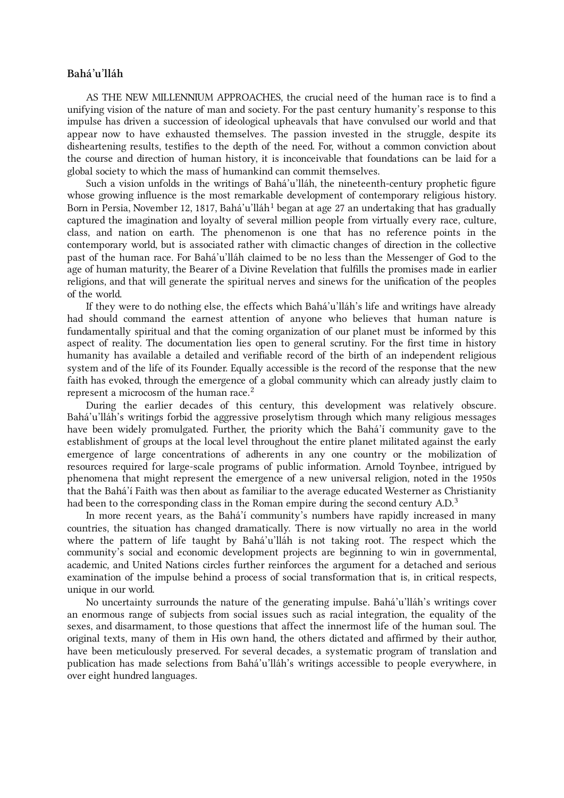# Bahá'u'lláh

AS THE NEW MILLENNIUM APPROACHES, the crucial need of the human race is to find a unifying vision of the nature of man and society. For the past century humanity's response to this impulse has driven a succession of ideological upheavals that have convulsed our world and that appear now to have exhausted themselves. The passion invested in the struggle, despite its disheartening results, testifies to the depth of the need. For, without a common conviction about the course and direction of human history, it is inconceivable that foundations can be laid for a global society to which the mass of humankind can commit themselves.

<span id="page-1-0"></span>Such a vision unfolds in the writings of Bahá'u'lláh, the nineteenth-century prophetic figure whose growing influence is the most remarkable development of contemporary religious history. Born in Persia, November [1](#page-29-1)2, 1817, Bahá'u'lláh<sup>1</sup> began at age 27 an undertaking that has gradually captured the imagination and loyalty of several million people from virtually every race, culture, class, and nation on earth. The phenomenon is one that has no reference points in the contemporary world, but is associated rather with climactic changes of direction in the collective past of the human race. For Bahá'u'lláh claimed to be no less than the Messenger of God to the age of human maturity, the Bearer of a Divine Revelation that fulfills the promises made in earlier religions, and that will generate the spiritual nerves and sinews for the unification of the peoples of the world.

<span id="page-1-1"></span>If they were to do nothing else, the effects which Bahá'u'lláh's life and writings have already had should command the earnest attention of anyone who believes that human nature is fundamentally spiritual and that the coming organization of our planet must be informed by this aspect of reality. The documentation lies open to general scrutiny. For the first time in history humanity has available a detailed and verifiable record of the birth of an independent religious system and of the life of its Founder. Equally accessible is the record of the response that the new faith has evoked, through the emergence of a global community which can already justly claim to represent a microcosm of the human race. $^2$  $^2$ 

<span id="page-1-2"></span>During the earlier decades of this century, this development was relatively obscure. Bahá'u'lláh's writings forbid the aggressive proselytism through which many religious messages have been widely promulgated. Further, the priority which the Bahá'í community gave to the establishment of groups at the local level throughout the entire planet militated against the early emergence of large concentrations of adherents in any one country or the mobilization of resources required for large-scale programs of public information. Arnold Toynbee, intrigued by phenomena that might represent the emergence of a new universal religion, noted in the 1950s that the Bahá'í Faith was then about as familiar to the average educated Westerner as Christianity had been to the corresponding class in the Roman empire during the second century A.D. $^3$  $^3$ 

In more recent years, as the Bahá'í community's numbers have rapidly increased in many countries, the situation has changed dramatically. There is now virtually no area in the world where the pattern of life taught by Bahá'u'lláh is not taking root. The respect which the community's social and economic development projects are beginning to win in governmental, academic, and United Nations circles further reinforces the argument for a detached and serious examination of the impulse behind a process of social transformation that is, in critical respects, unique in our world.

No uncertainty surrounds the nature of the generating impulse. Bahá'u'lláh's writings cover an enormous range of subjects from social issues such as racial integration, the equality of the sexes, and disarmament, to those questions that affect the innermost life of the human soul. The original texts, many of them in His own hand, the others dictated and affirmed by their author, have been meticulously preserved. For several decades, a systematic program of translation and publication has made selections from Bahá'u'lláh's writings accessible to people everywhere, in over eight hundred languages.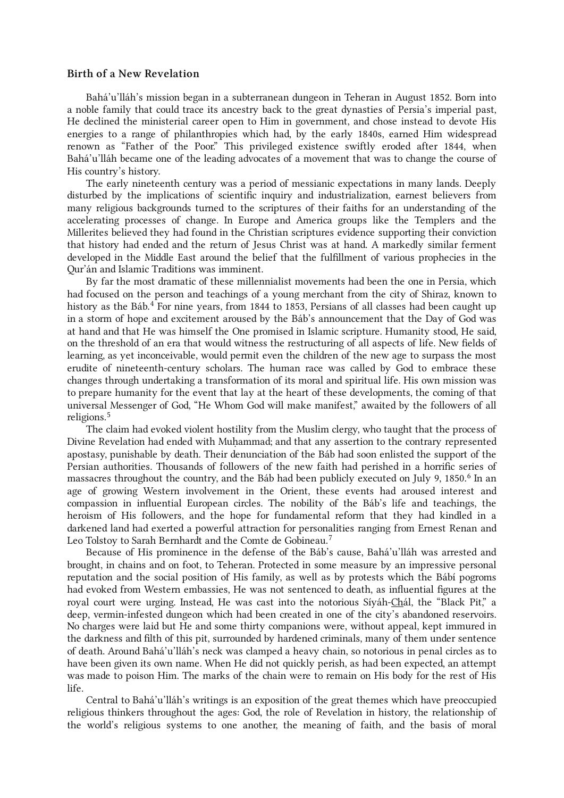# <span id="page-2-0"></span>Birth of a New Revelation

Bahá'u'lláh's mission began in a subterranean dungeon in Teheran in August 1852. Born into a noble family that could trace its ancestry back to the great dynasties of Persia's imperial past, He declined the ministerial career open to Him in government, and chose instead to devote His energies to a range of philanthropies which had, by the early 1840s, earned Him widespread renown as "Father of the Poor." This privileged existence swiftly eroded after 1844, when Bahá'u'lláh became one of the leading advocates of a movement that was to change the course of His country's history.

The early nineteenth century was a period of messianic expectations in many lands. Deeply disturbed by the implications of scientific inquiry and industrialization, earnest believers from many religious backgrounds turned to the scriptures of their faiths for an understanding of the accelerating processes of change. In Europe and America groups like the Templers and the Millerites believed they had found in the Christian scriptures evidence supporting their conviction that history had ended and the return of Jesus Christ was at hand. A markedly similar ferment developed in the Middle East around the belief that the fulfillment of various prophecies in the Qur'án and Islamic Traditions was imminent.

<span id="page-2-1"></span>By far the most dramatic of these millennialist movements had been the one in Persia, which had focused on the person and teachings of a young merchant from the city of Shiraz, known to history as the Báb. [4](#page-29-4) For nine years, from 1844 to 1853, Persians of all classes had been caught up in a storm of hope and excitement aroused by the Báb's announcement that the Day of God was at hand and that He was himself the One promised in Islamic scripture. Humanity stood, He said, on the threshold of an era that would witness the restructuring of all aspects of life. New fields of learning, as yet inconceivable, would permit even the children of the new age to surpass the most erudite of nineteenth-century scholars. The human race was called by God to embrace these changes through undertaking a transformation of its moral and spiritual life. His own mission was to prepare humanity for the event that lay at the heart of these developments, the coming of that universal Messenger of God, "He Whom God will make manifest," awaited by the followers of all religions. [5](#page-29-5)

<span id="page-2-2"></span>The claim had evoked violent hostility from the Muslim clergy, who taught that the process of Divine Revelation had ended with Muhammad; and that any assertion to the contrary represented apostasy, punishable by death. Their denunciation of the Báb had soon enlisted the support of the Persian authorities. Thousands of followers of the new faith had perished in a horrific series of massacres throughout the country, and the Báb had been publicly executed on July 9, 1850.<sup>[6](#page-29-6)</sup> In an age of growing Western involvement in the Orient, these events had aroused interest and compassion in influential European circles. The nobility of the Báb's life and teachings, the heroism of His followers, and the hope for fundamental reform that they had kindled in a darkened land had exerted a powerful attraction for personalities ranging from Ernest Renan and Leo Tolstoy to Sarah Bernhardt and the Comte de Gobineau.<sup>[7](#page-29-7)</sup>

Because of His prominence in the defense of the Báb's cause, Bahá'u'lláh was arrested and brought, in chains and on foot, to Teheran. Protected in some measure by an impressive personal reputation and the social position of His family, as well as by protests which the Bábí pogroms had evoked from Western embassies, He was not sentenced to death, as influential figures at the royal court were urging. Instead, He was cast into the notorious Síyáh-Chál, the "Black Pit," a deep, vermin-infested dungeon which had been created in one of the city's abandoned reservoirs. No charges were laid but He and some thirty companions were, without appeal, kept immured in the darkness and filth of this pit, surrounded by hardened criminals, many of them under sentence of death. Around Bahá'u'lláh's neck was clamped a heavy chain, so notorious in penal circles as to have been given its own name. When He did not quickly perish, as had been expected, an attempt was made to poison Him. The marks of the chain were to remain on His body for the rest of His life.

Central to Bahá'u'lláh's writings is an exposition of the great themes which have preoccupied religious thinkers throughout the ages: God, the role of Revelation in history, the relationship of the world's religious systems to one another, the meaning of faith, and the basis of moral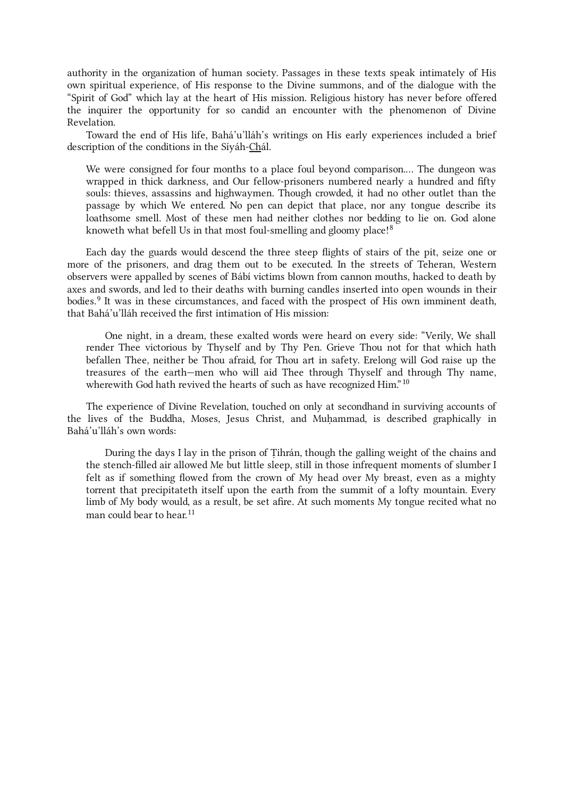authority in the organization of human society. Passages in these texts speak intimately of His own spiritual experience, of His response to the Divine summons, and of the dialogue with the "Spirit of God" which lay at the heart of His mission. Religious history has never before offered the inquirer the opportunity for so candid an encounter with the phenomenon of Divine Revelation.

Toward the end of His life, Bahá'u'lláh's writings on His early experiences included a brief description of the conditions in the Síyáh-Chál.

<span id="page-3-0"></span>We were consigned for four months to a place foul beyond comparison.… The dungeon was wrapped in thick darkness, and Our fellow-prisoners numbered nearly a hundred and fifty souls: thieves, assassins and highwaymen. Though crowded, it had no other outlet than the passage by which We entered. No pen can depict that place, nor any tongue describe its loathsome smell. Most of these men had neither clothes nor bedding to lie on. God alone knoweth what befell Us in that most foul-smelling and gloomy place!<sup>[8](#page-29-8)</sup>

<span id="page-3-1"></span>Each day the guards would descend the three steep flights of stairs of the pit, seize one or more of the prisoners, and drag them out to be executed. In the streets of Teheran, Western observers were appalled by scenes of Bábí victims blown from cannon mouths, hacked to death by axes and swords, and led to their deaths with burning candles inserted into open wounds in their bodies.<sup>[9](#page-29-9)</sup> It was in these circumstances, and faced with the prospect of His own imminent death, that Bahá'u'lláh received the first intimation of His mission:

<span id="page-3-2"></span>One night, in a dream, these exalted words were heard on every side: "Verily, We shall render Thee victorious by Thyself and by Thy Pen. Grieve Thou not for that which hath befallen Thee, neither be Thou afraid, for Thou art in safety. Erelong will God raise up the treasures of the earth—men who will aid Thee through Thyself and through Thy name, wherewith God hath revived the hearts of such as have recognized Him." $10$ 

The experience of Divine Revelation, touched on only at secondhand in surviving accounts of the lives of the Buddha, Moses, Jesus Christ, and Muhammad, is described graphically in Bahá'u'lláh's own words:

<span id="page-3-3"></span>During the days I lay in the prison of Ṭihrán, though the galling weight of the chains and the stench-filled air allowed Me but little sleep, still in those infrequent moments of slumber I felt as if something flowed from the crown of My head over My breast, even as a mighty torrent that precipitateth itself upon the earth from the summit of a lofty mountain. Every limb of My body would, as a result, be set afire. At such moments My tongue recited what no man could bear to hear. [11](#page-29-11)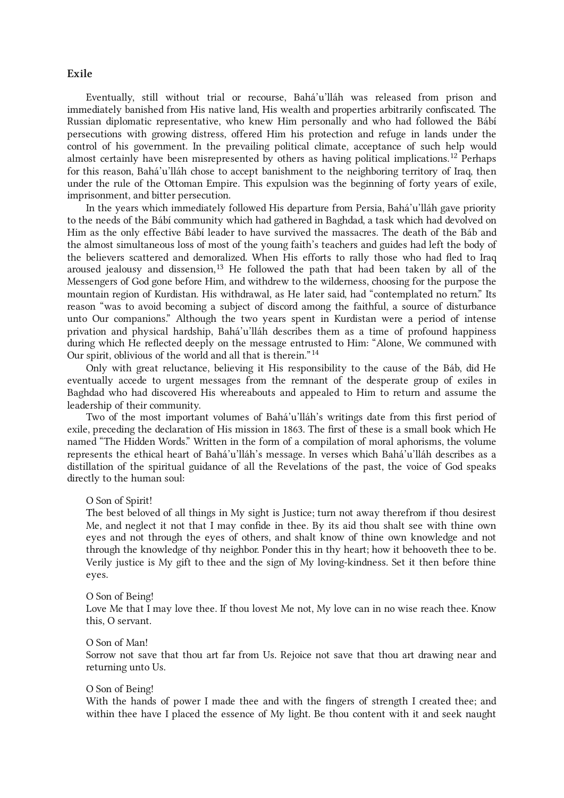# <span id="page-4-0"></span>Exile

<span id="page-4-1"></span>Eventually, still without trial or recourse, Bahá'u'lláh was released from prison and immediately banished from His native land, His wealth and properties arbitrarily confiscated. The Russian diplomatic representative, who knew Him personally and who had followed the Bábí persecutions with growing distress, offered Him his protection and refuge in lands under the control of his government. In the prevailing political climate, acceptance of such help would almost certainly have been misrepresented by others as having political implications.<sup>[12](#page-29-12)</sup> Perhaps for this reason, Bahá'u'lláh chose to accept banishment to the neighboring territory of Iraq, then under the rule of the Ottoman Empire. This expulsion was the beginning of forty years of exile, imprisonment, and bitter persecution.

<span id="page-4-2"></span>In the years which immediately followed His departure from Persia, Bahá'u'lláh gave priority to the needs of the Bábí community which had gathered in Baghdad, a task which had devolved on Him as the only effective Bábí leader to have survived the massacres. The death of the Báb and the almost simultaneous loss of most of the young faith's teachers and guides had left the body of the believers scattered and demoralized. When His efforts to rally those who had fled to Iraq aroused jealousy and dissension,<sup>[13](#page-30-0)</sup> He followed the path that had been taken by all of the Messengers of God gone before Him, and withdrew to the wilderness, choosing for the purpose the mountain region of Kurdistan. His withdrawal, as He later said, had "contemplated no return." Its reason "was to avoid becoming a subject of discord among the faithful, a source of disturbance unto Our companions." Although the two years spent in Kurdistan were a period of intense privation and physical hardship, Bahá'u'lláh describes them as a time of profound happiness during which He reflected deeply on the message entrusted to Him: "Alone, We communed with Our spirit, oblivious of the world and all that is therein." [14](#page-30-1)

Only with great reluctance, believing it His responsibility to the cause of the Báb, did He eventually accede to urgent messages from the remnant of the desperate group of exiles in Baghdad who had discovered His whereabouts and appealed to Him to return and assume the leadership of their community.

Two of the most important volumes of Bahá'u'lláh's writings date from this first period of exile, preceding the declaration of His mission in 1863. The first of these is a small book which He named "The Hidden Words." Written in the form of a compilation of moral aphorisms, the volume represents the ethical heart of Bahá'u'lláh's message. In verses which Bahá'u'lláh describes as a distillation of the spiritual guidance of all the Revelations of the past, the voice of God speaks directly to the human soul:

#### O Son of Spirit!

The best beloved of all things in My sight is Justice; turn not away therefrom if thou desirest Me, and neglect it not that I may confide in thee. By its aid thou shalt see with thine own eyes and not through the eyes of others, and shalt know of thine own knowledge and not through the knowledge of thy neighbor. Ponder this in thy heart; how it behooveth thee to be. Verily justice is My gift to thee and the sign of My loving-kindness. Set it then before thine eyes.

#### O Son of Being!

Love Me that I may love thee. If thou lovest Me not, My love can in no wise reach thee. Know this, O servant.

# O Son of Man!

Sorrow not save that thou art far from Us. Rejoice not save that thou art drawing near and returning unto Us.

#### <span id="page-4-3"></span>O Son of Being!

With the hands of power I made thee and with the fingers of strength I created thee; and within thee have I placed the essence of My light. Be thou content with it and seek naught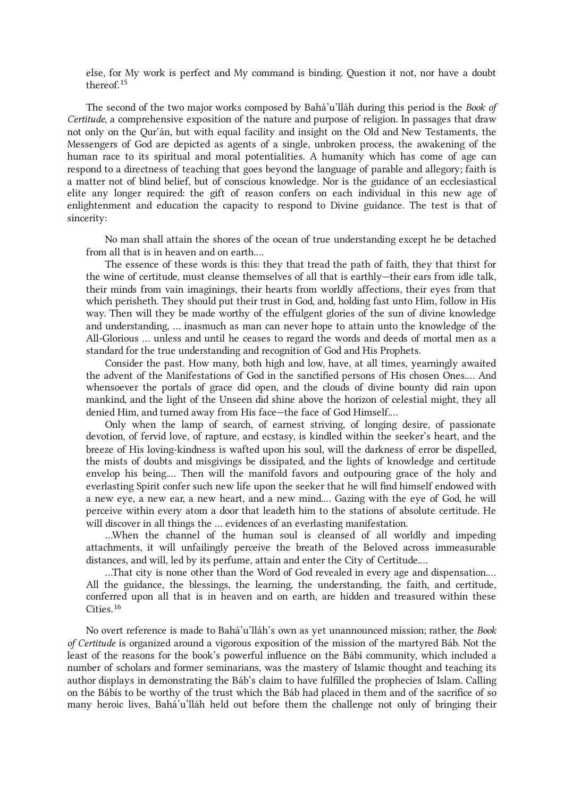else, for My work is perfect and My command is binding. Question it not, nor have a doubt thereof. [15](#page-30-2)

The second of the two major works composed by Bahá'u'lláh during this period is the Book of Certitude, a comprehensive exposition of the nature and purpose of religion. In passages that draw not only on the Qur'án, but with equal facility and insight on the Old and New Testaments, the Messengers of God are depicted as agents of a single, unbroken process, the awakening of the human race to its spiritual and moral potentialities. A humanity which has come of age can respond to a directness of teaching that goes beyond the language of parable and allegory; faith is a matter not of blind belief, but of conscious knowledge. Nor is the guidance of an ecclesiastical elite any longer required: the gift of reason confers on each individual in this new age of enlightenment and education the capacity to respond to Divine guidance. The test is that of sincerity:

No man shall attain the shores of the ocean of true understanding except he be detached from all that is in heaven and on earth.…

The essence of these words is this: they that tread the path of faith, they that thirst for the wine of certitude, must cleanse themselves of all that is earthly—their ears from idle talk, their minds from vain imaginings, their hearts from worldly affections, their eyes from that which perisheth. They should put their trust in God, and, holding fast unto Him, follow in His way. Then will they be made worthy of the effulgent glories of the sun of divine knowledge and understanding, … inasmuch as man can never hope to attain unto the knowledge of the All-Glorious … unless and until he ceases to regard the words and deeds of mortal men as a standard for the true understanding and recognition of God and His Prophets.

Consider the past. How many, both high and low, have, at all times, yearningly awaited the advent of the Manifestations of God in the sanctified persons of His chosen Ones.… And whensoever the portals of grace did open, and the clouds of divine bounty did rain upon mankind, and the light of the Unseen did shine above the horizon of celestial might, they all denied Him, and turned away from His face—the face of God Himself.…

Only when the lamp of search, of earnest striving, of longing desire, of passionate devotion, of fervid love, of rapture, and ecstasy, is kindled within the seeker's heart, and the breeze of His loving-kindness is wafted upon his soul, will the darkness of error be dispelled, the mists of doubts and misgivings be dissipated, and the lights of knowledge and certitude envelop his being.… Then will the manifold favors and outpouring grace of the holy and everlasting Spirit confer such new life upon the seeker that he will find himself endowed with a new eye, a new ear, a new heart, and a new mind.… Gazing with the eye of God, he will perceive within every atom a door that leadeth him to the stations of absolute certitude. He will discover in all things the … evidences of an everlasting manifestation.

…When the channel of the human soul is cleansed of all worldly and impeding attachments, it will unfailingly perceive the breath of the Beloved across immeasurable distances, and will, led by its perfume, attain and enter the City of Certitude.…

<span id="page-5-0"></span>…That city is none other than the Word of God revealed in every age and dispensation.… All the guidance, the blessings, the learning, the understanding, the faith, and certitude, conferred upon all that is in heaven and on earth, are hidden and treasured within these Cities. [16](#page-30-3)

No overt reference is made to Bahá'u'lláh's own as yet unannounced mission; rather, the Book of Certitude is organized around a vigorous exposition of the mission of the martyred Báb. Not the least of the reasons for the book's powerful influence on the Bábí community, which included a number of scholars and former seminarians, was the mastery of Islamic thought and teaching its author displays in demonstrating the Báb's claim to have fulfilled the prophecies of Islam. Calling on the Bábís to be worthy of the trust which the Báb had placed in them and of the sacrifice of so many heroic lives, Bahá'u'lláh held out before them the challenge not only of bringing their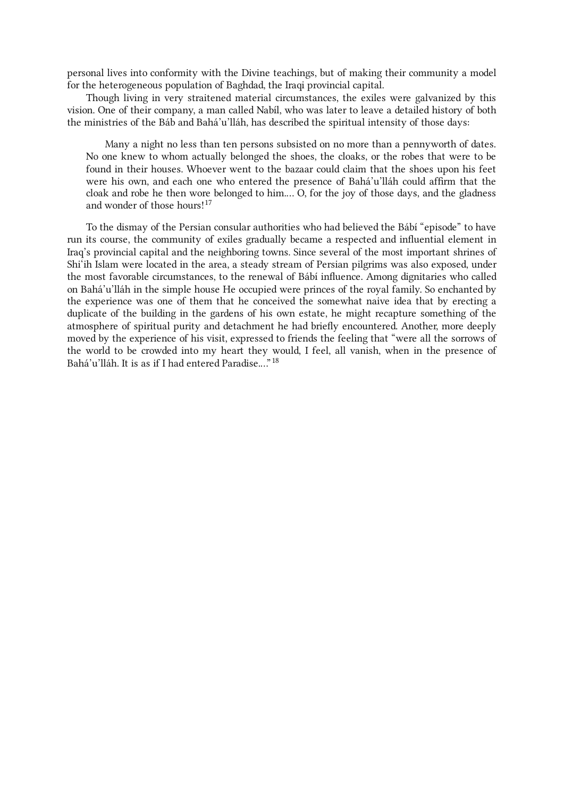personal lives into conformity with the Divine teachings, but of making their community a model for the heterogeneous population of Baghdad, the Iraqi provincial capital.

Though living in very straitened material circumstances, the exiles were galvanized by this vision. One of their company, a man called Nabíl, who was later to leave a detailed history of both the ministries of the Báb and Bahá'u'lláh, has described the spiritual intensity of those days:

<span id="page-6-0"></span>Many a night no less than ten persons subsisted on no more than a pennyworth of dates. No one knew to whom actually belonged the shoes, the cloaks, or the robes that were to be found in their houses. Whoever went to the bazaar could claim that the shoes upon his feet were his own, and each one who entered the presence of Bahá'u'lláh could affirm that the cloak and robe he then wore belonged to him.… O, for the joy of those days, and the gladness and wonder of those hours! [17](#page-30-4)

<span id="page-6-1"></span>To the dismay of the Persian consular authorities who had believed the Bábí "episode" to have run its course, the community of exiles gradually became a respected and influential element in Iraq's provincial capital and the neighboring towns. Since several of the most important shrines of Shi'ih Islam were located in the area, a steady stream of Persian pilgrims was also exposed, under the most favorable circumstances, to the renewal of Bábí influence. Among dignitaries who called on Bahá'u'lláh in the simple house He occupied were princes of the royal family. So enchanted by the experience was one of them that he conceived the somewhat naive idea that by erecting a duplicate of the building in the gardens of his own estate, he might recapture something of the atmosphere of spiritual purity and detachment he had briefly encountered. Another, more deeply moved by the experience of his visit, expressed to friends the feeling that "were all the sorrows of the world to be crowded into my heart they would, I feel, all vanish, when in the presence of Bahá'u'lláh. It is as if I had entered Paradise...." <sup>[18](#page-30-5)</sup>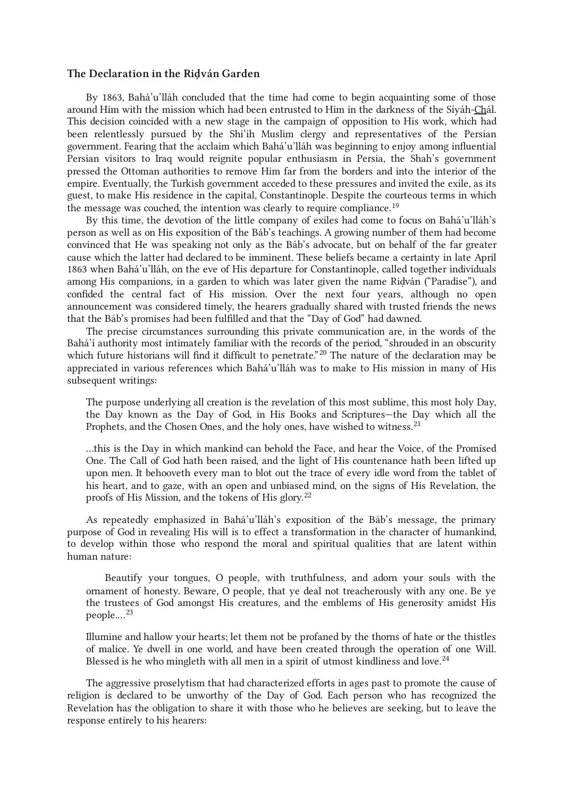#### <span id="page-7-0"></span>The Declaration in the Riḍván Garden

<span id="page-7-1"></span>By 1863, Bahá'u'lláh concluded that the time had come to begin acquainting some of those around Him with the mission which had been entrusted to Him in the darkness of the Síyáh-Chál. This decision coincided with a new stage in the campaign of opposition to His work, which had been relentlessly pursued by the Shi'ih Muslim clergy and representatives of the Persian government. Fearing that the acclaim which Bahá'u'lláh was beginning to enjoy among influential Persian visitors to Iraq would reignite popular enthusiasm in Persia, the Shah's government pressed the Ottoman authorities to remove Him far from the borders and into the interior of the empire. Eventually, the Turkish government acceded to these pressures and invited the exile, as its guest, to make His residence in the capital, Constantinople. Despite the courteous terms in which the message was couched, the intention was clearly to require compliance.<sup>[19](#page-30-6)</sup>

By this time, the devotion of the little company of exiles had come to focus on Bahá'u'lláh's person as well as on His exposition of the Báb's teachings. A growing number of them had become convinced that He was speaking not only as the Báb's advocate, but on behalf of the far greater cause which the latter had declared to be imminent. These beliefs became a certainty in late April 1863 when Bahá'u'lláh, on the eve of His departure for Constantinople, called together individuals among His companions, in a garden to which was later given the name Ridván ("Paradise"), and confided the central fact of His mission. Over the next four years, although no open announcement was considered timely, the hearers gradually shared with trusted friends the news that the Báb's promises had been fulfilled and that the "Day of God" had dawned.

<span id="page-7-2"></span>The precise circumstances surrounding this private communication are, in the words of the Bahá'í authority most intimately familiar with the records of the period, "shrouded in an obscurity which future historians will find it difficult to penetrate."<sup>[20](#page-30-7)</sup> The nature of the declaration may be appreciated in various references which Bahá'u'lláh was to make to His mission in many of His subsequent writings:

<span id="page-7-3"></span>The purpose underlying all creation is the revelation of this most sublime, this most holy Day, the Day known as the Day of God, in His Books and Scriptures—the Day which all the Prophets, and the Chosen Ones, and the holy ones, have wished to witness.<sup>[21](#page-30-8)</sup>

<span id="page-7-4"></span>…this is the Day in which mankind can behold the Face, and hear the Voice, of the Promised One. The Call of God hath been raised, and the light of His countenance hath been lifted up upon men. It behooveth every man to blot out the trace of every idle word from the tablet of his heart, and to gaze, with an open and unbiased mind, on the signs of His Revelation, the proofs of His Mission, and the tokens of His glory. [22](#page-30-9)

As repeatedly emphasized in Bahá'u'lláh's exposition of the Báb's message, the primary purpose of God in revealing His will is to effect a transformation in the character of humankind, to develop within those who respond the moral and spiritual qualities that are latent within human nature:

<span id="page-7-5"></span>Beautify your tongues, O people, with truthfulness, and adorn your souls with the ornament of honesty. Beware, O people, that ye deal not treacherously with any one. Be ye the trustees of God amongst His creatures, and the emblems of His generosity amidst His people.…[23](#page-30-10)

<span id="page-7-6"></span>Illumine and hallow your hearts; let them not be profaned by the thorns of hate or the thistles of malice. Ye dwell in one world, and have been created through the operation of one Will. Blessed is he who mingleth with all men in a spirit of utmost kindliness and love.<sup>[24](#page-30-11)</sup>

The aggressive proselytism that had characterized efforts in ages past to promote the cause of religion is declared to be unworthy of the Day of God. Each person who has recognized the Revelation has the obligation to share it with those who he believes are seeking, but to leave the response entirely to his hearers: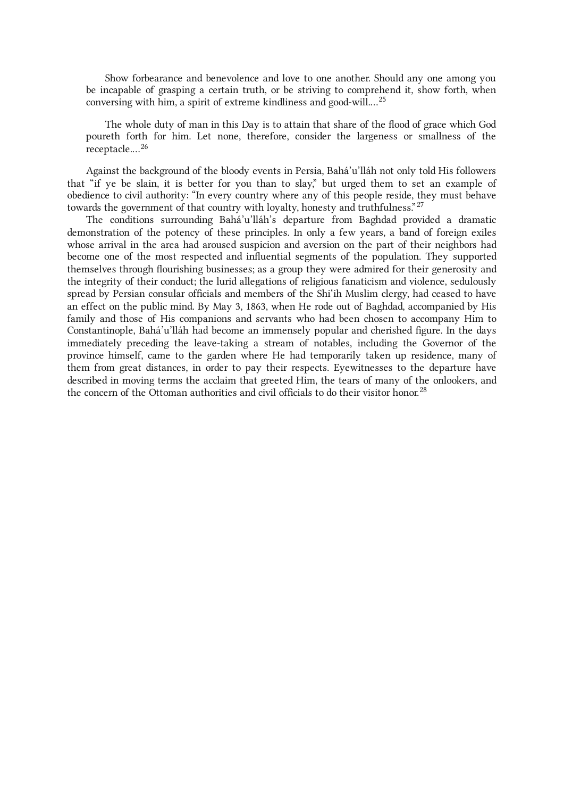<span id="page-8-0"></span>Show forbearance and benevolence and love to one another. Should any one among you be incapable of grasping a certain truth, or be striving to comprehend it, show forth, when conversing with him, a spirit of extreme kindliness and good-will.…[25](#page-30-12)

<span id="page-8-1"></span>The whole duty of man in this Day is to attain that share of the flood of grace which God poureth forth for him. Let none, therefore, consider the largeness or smallness of the receptacle.…[26](#page-30-13)

<span id="page-8-2"></span>Against the background of the bloody events in Persia, Bahá'u'lláh not only told His followers that "if ye be slain, it is better for you than to slay," but urged them to set an example of obedience to civil authority: "In every country where any of this people reside, they must behave towards the government of that country with loyalty, honesty and truthfulness." $^{27}$  $^{27}$  $^{27}$ 

<span id="page-8-3"></span>The conditions surrounding Bahá'u'lláh's departure from Baghdad provided a dramatic demonstration of the potency of these principles. In only a few years, a band of foreign exiles whose arrival in the area had aroused suspicion and aversion on the part of their neighbors had become one of the most respected and influential segments of the population. They supported themselves through flourishing businesses; as a group they were admired for their generosity and the integrity of their conduct; the lurid allegations of religious fanaticism and violence, sedulously spread by Persian consular officials and members of the Shi'ih Muslim clergy, had ceased to have an effect on the public mind. By May 3, 1863, when He rode out of Baghdad, accompanied by His family and those of His companions and servants who had been chosen to accompany Him to Constantinople, Bahá'u'lláh had become an immensely popular and cherished figure. In the days immediately preceding the leave-taking a stream of notables, including the Governor of the province himself, came to the garden where He had temporarily taken up residence, many of them from great distances, in order to pay their respects. Eyewitnesses to the departure have described in moving terms the acclaim that greeted Him, the tears of many of the onlookers, and the concern of the Ottoman authorities and civil officials to do their visitor honor.<sup>[28](#page-30-15)</sup>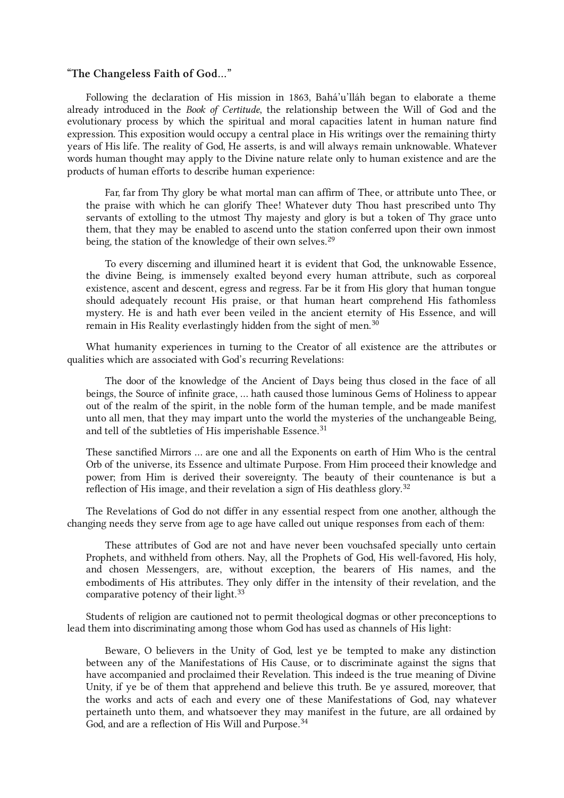# <span id="page-9-0"></span>"The Changeless Faith of God…"

Following the declaration of His mission in 1863, Bahá'u'lláh began to elaborate a theme already introduced in the Book of Certitude, the relationship between the Will of God and the evolutionary process by which the spiritual and moral capacities latent in human nature find expression. This exposition would occupy a central place in His writings over the remaining thirty years of His life. The reality of God, He asserts, is and will always remain unknowable. Whatever words human thought may apply to the Divine nature relate only to human existence and are the products of human efforts to describe human experience:

<span id="page-9-1"></span>Far, far from Thy glory be what mortal man can affirm of Thee, or attribute unto Thee, or the praise with which he can glorify Thee! Whatever duty Thou hast prescribed unto Thy servants of extolling to the utmost Thy majesty and glory is but a token of Thy grace unto them, that they may be enabled to ascend unto the station conferred upon their own inmost being, the station of the knowledge of their own selves.<sup>[29](#page-30-16)</sup>

<span id="page-9-2"></span>To every discerning and illumined heart it is evident that God, the unknowable Essence, the divine Being, is immensely exalted beyond every human attribute, such as corporeal existence, ascent and descent, egress and regress. Far be it from His glory that human tongue should adequately recount His praise, or that human heart comprehend His fathomless mystery. He is and hath ever been veiled in the ancient eternity of His Essence, and will remain in His Reality everlastingly hidden from the sight of men. $^{30}$  $^{30}$  $^{30}$ 

What humanity experiences in turning to the Creator of all existence are the attributes or qualities which are associated with God's recurring Revelations:

<span id="page-9-3"></span>The door of the knowledge of the Ancient of Days being thus closed in the face of all beings, the Source of infinite grace, … hath caused those luminous Gems of Holiness to appear out of the realm of the spirit, in the noble form of the human temple, and be made manifest unto all men, that they may impart unto the world the mysteries of the unchangeable Being, and tell of the subtleties of His imperishable Essence.<sup>[31](#page-30-18)</sup>

<span id="page-9-4"></span>These sanctified Mirrors … are one and all the Exponents on earth of Him Who is the central Orb of the universe, its Essence and ultimate Purpose. From Him proceed their knowledge and power; from Him is derived their sovereignty. The beauty of their countenance is but a reflection of His image, and their revelation a sign of His deathless glory. $^{32}$  $^{32}$  $^{32}$ 

The Revelations of God do not differ in any essential respect from one another, although the changing needs they serve from age to age have called out unique responses from each of them:

<span id="page-9-5"></span>These attributes of God are not and have never been vouchsafed specially unto certain Prophets, and withheld from others. Nay, all the Prophets of God, His well-favored, His holy, and chosen Messengers, are, without exception, the bearers of His names, and the embodiments of His attributes. They only differ in the intensity of their revelation, and the comparative potency of their light.<sup>[33](#page-30-20)</sup>

Students of religion are cautioned not to permit theological dogmas or other preconceptions to lead them into discriminating among those whom God has used as channels of His light:

<span id="page-9-6"></span>Beware, O believers in the Unity of God, lest ye be tempted to make any distinction between any of the Manifestations of His Cause, or to discriminate against the signs that have accompanied and proclaimed their Revelation. This indeed is the true meaning of Divine Unity, if ye be of them that apprehend and believe this truth. Be ye assured, moreover, that the works and acts of each and every one of these Manifestations of God, nay whatever pertaineth unto them, and whatsoever they may manifest in the future, are all ordained by God, and are a reflection of His Will and Purpose.<sup>[34](#page-30-21)</sup>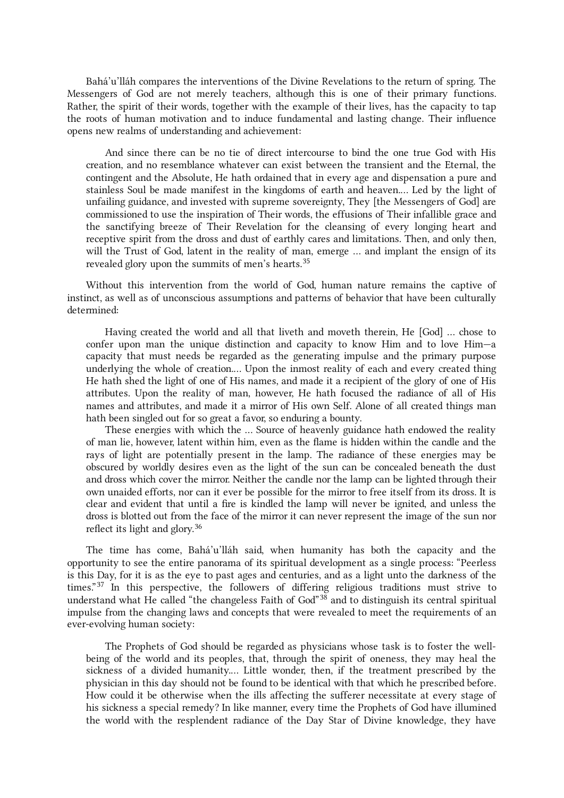Bahá'u'lláh compares the interventions of the Divine Revelations to the return of spring. The Messengers of God are not merely teachers, although this is one of their primary functions. Rather, the spirit of their words, together with the example of their lives, has the capacity to tap the roots of human motivation and to induce fundamental and lasting change. Their influence opens new realms of understanding and achievement:

<span id="page-10-0"></span>And since there can be no tie of direct intercourse to bind the one true God with His creation, and no resemblance whatever can exist between the transient and the Eternal, the contingent and the Absolute, He hath ordained that in every age and dispensation a pure and stainless Soul be made manifest in the kingdoms of earth and heaven.… Led by the light of unfailing guidance, and invested with supreme sovereignty, They [the Messengers of God] are commissioned to use the inspiration of Their words, the effusions of Their infallible grace and the sanctifying breeze of Their Revelation for the cleansing of every longing heart and receptive spirit from the dross and dust of earthly cares and limitations. Then, and only then, will the Trust of God, latent in the reality of man, emerge … and implant the ensign of its revealed glory upon the summits of men's hearts.<sup>[35](#page-30-22)</sup>

Without this intervention from the world of God, human nature remains the captive of instinct, as well as of unconscious assumptions and patterns of behavior that have been culturally determined:

Having created the world and all that liveth and moveth therein, He [God] … chose to confer upon man the unique distinction and capacity to know Him and to love Him—a capacity that must needs be regarded as the generating impulse and the primary purpose underlying the whole of creation.… Upon the inmost reality of each and every created thing He hath shed the light of one of His names, and made it a recipient of the glory of one of His attributes. Upon the reality of man, however, He hath focused the radiance of all of His names and attributes, and made it a mirror of His own Self. Alone of all created things man hath been singled out for so great a favor, so enduring a bounty.

<span id="page-10-1"></span>These energies with which the … Source of heavenly guidance hath endowed the reality of man lie, however, latent within him, even as the flame is hidden within the candle and the rays of light are potentially present in the lamp. The radiance of these energies may be obscured by worldly desires even as the light of the sun can be concealed beneath the dust and dross which cover the mirror. Neither the candle nor the lamp can be lighted through their own unaided efforts, nor can it ever be possible for the mirror to free itself from its dross. It is clear and evident that until a fire is kindled the lamp will never be ignited, and unless the dross is blotted out from the face of the mirror it can never represent the image of the sun nor reflect its light and glory. [36](#page-30-23)

<span id="page-10-2"></span>The time has come, Bahá'u'lláh said, when humanity has both the capacity and the opportunity to see the entire panorama of its spiritual development as a single process: "Peerless is this Day, for it is as the eye to past ages and centuries, and as a light unto the darkness of the times."<sup>[37](#page-30-24)</sup> In this perspective, the followers of differing religious traditions must strive to understand what He called "the changeless Faith of God"<sup>[38](#page-30-25)</sup> and to distinguish its central spiritual impulse from the changing laws and concepts that were revealed to meet the requirements of an ever-evolving human society:

<span id="page-10-3"></span>The Prophets of God should be regarded as physicians whose task is to foster the wellbeing of the world and its peoples, that, through the spirit of oneness, they may heal the sickness of a divided humanity.… Little wonder, then, if the treatment prescribed by the physician in this day should not be found to be identical with that which he prescribed before. How could it be otherwise when the ills affecting the sufferer necessitate at every stage of his sickness a special remedy? In like manner, every time the Prophets of God have illumined the world with the resplendent radiance of the Day Star of Divine knowledge, they have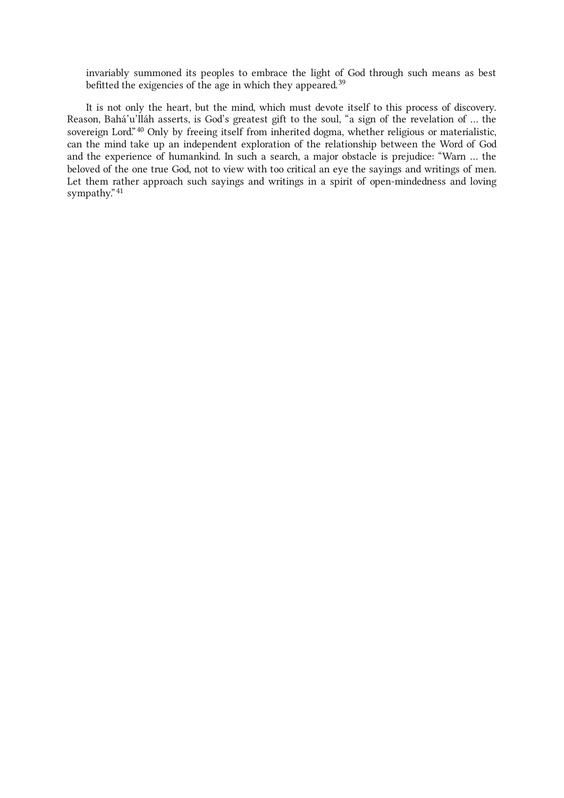invariably summoned its peoples to embrace the light of God through such means as best befitted the exigencies of the age in which they appeared.<sup>[39](#page-30-26)</sup>

<span id="page-11-0"></span>It is not only the heart, but the mind, which must devote itself to this process of discovery. Reason, Bahá'u'lláh asserts, is God's greatest gift to the soul, "a sign of the revelation of … the sovereign Lord."<sup>[40](#page-30-27)</sup> Only by freeing itself from inherited dogma, whether religious or materialistic, can the mind take up an independent exploration of the relationship between the Word of God and the experience of humankind. In such a search, a major obstacle is prejudice: "Warn … the beloved of the one true God, not to view with too critical an eye the sayings and writings of men. Let them rather approach such sayings and writings in a spirit of open-mindedness and loving sympathy." [41](#page-30-28)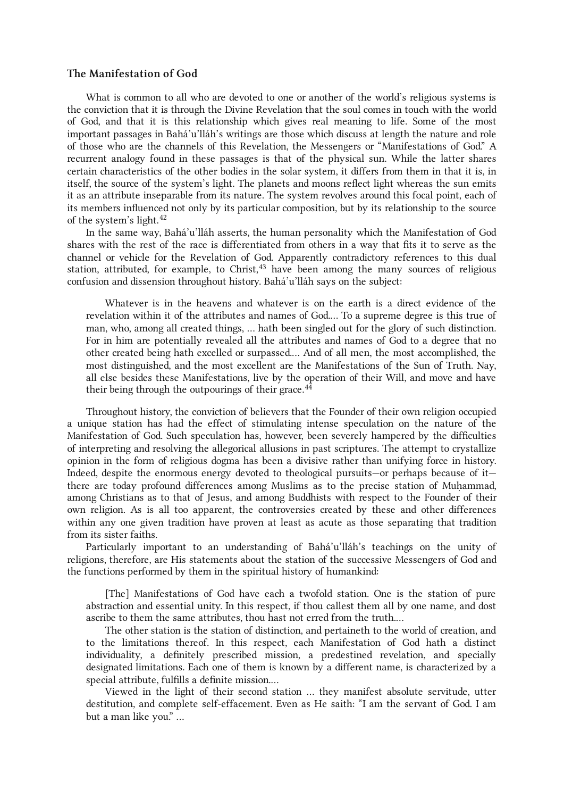# <span id="page-12-0"></span>The Manifestation of God

<span id="page-12-1"></span>What is common to all who are devoted to one or another of the world's religious systems is the conviction that it is through the Divine Revelation that the soul comes in touch with the world of God, and that it is this relationship which gives real meaning to life. Some of the most important passages in Bahá'u'lláh's writings are those which discuss at length the nature and role of those who are the channels of this Revelation, the Messengers or "Manifestations of God." A recurrent analogy found in these passages is that of the physical sun. While the latter shares certain characteristics of the other bodies in the solar system, it differs from them in that it is, in itself, the source of the system's light. The planets and moons reflect light whereas the sun emits it as an attribute inseparable from its nature. The system revolves around this focal point, each of its members influenced not only by its particular composition, but by its relationship to the source of the system's light. [42](#page-31-0)

<span id="page-12-2"></span>In the same way, Bahá'u'lláh asserts, the human personality which the Manifestation of God shares with the rest of the race is differentiated from others in a way that fits it to serve as the channel or vehicle for the Revelation of God. Apparently contradictory references to this dual station, attributed, for example, to Christ,  $43$  have been among the many sources of religious confusion and dissension throughout history. Bahá'u'lláh says on the subject:

<span id="page-12-3"></span>Whatever is in the heavens and whatever is on the earth is a direct evidence of the revelation within it of the attributes and names of God.… To a supreme degree is this true of man, who, among all created things, … hath been singled out for the glory of such distinction. For in him are potentially revealed all the attributes and names of God to a degree that no other created being hath excelled or surpassed.… And of all men, the most accomplished, the most distinguished, and the most excellent are the Manifestations of the Sun of Truth. Nay, all else besides these Manifestations, live by the operation of their Will, and move and have their being through the outpourings of their grace.<sup>[44](#page-31-2)</sup>

Throughout history, the conviction of believers that the Founder of their own religion occupied a unique station has had the effect of stimulating intense speculation on the nature of the Manifestation of God. Such speculation has, however, been severely hampered by the difficulties of interpreting and resolving the allegorical allusions in past scriptures. The attempt to crystallize opinion in the form of religious dogma has been a divisive rather than unifying force in history. Indeed, despite the enormous energy devoted to theological pursuits—or perhaps because of it there are today profound differences among Muslims as to the precise station of Muhammad, among Christians as to that of Jesus, and among Buddhists with respect to the Founder of their own religion. As is all too apparent, the controversies created by these and other differences within any one given tradition have proven at least as acute as those separating that tradition from its sister faiths.

Particularly important to an understanding of Bahá'u'lláh's teachings on the unity of religions, therefore, are His statements about the station of the successive Messengers of God and the functions performed by them in the spiritual history of humankind:

[The] Manifestations of God have each a twofold station. One is the station of pure abstraction and essential unity. In this respect, if thou callest them all by one name, and dost ascribe to them the same attributes, thou hast not erred from the truth.…

The other station is the station of distinction, and pertaineth to the world of creation, and to the limitations thereof. In this respect, each Manifestation of God hath a distinct individuality, a definitely prescribed mission, a predestined revelation, and specially designated limitations. Each one of them is known by a different name, is characterized by a special attribute, fulfills a definite mission.…

Viewed in the light of their second station … they manifest absolute servitude, utter destitution, and complete self-effacement. Even as He saith: "I am the servant of God. I am but a man like you." …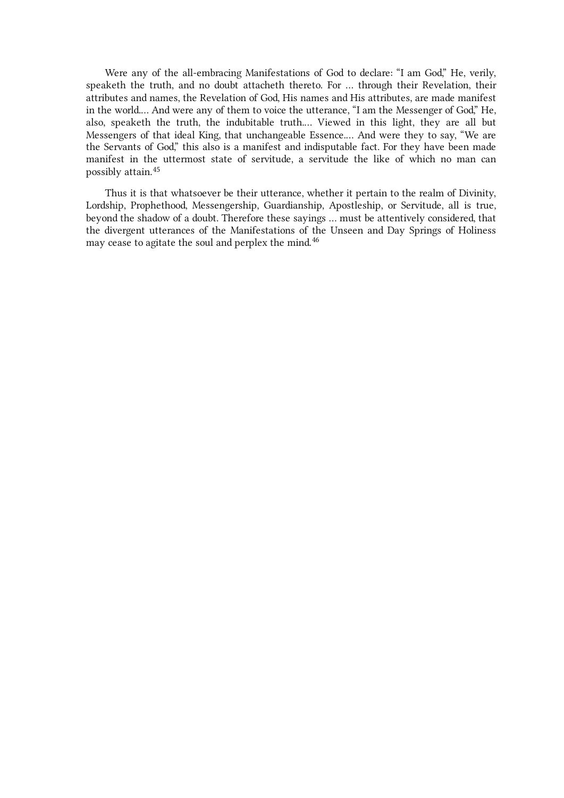<span id="page-13-0"></span>Were any of the all-embracing Manifestations of God to declare: "I am God," He, verily, speaketh the truth, and no doubt attacheth thereto. For … through their Revelation, their attributes and names, the Revelation of God, His names and His attributes, are made manifest in the world.… And were any of them to voice the utterance, "I am the Messenger of God," He, also, speaketh the truth, the indubitable truth.… Viewed in this light, they are all but Messengers of that ideal King, that unchangeable Essence.… And were they to say, "We are the Servants of God," this also is a manifest and indisputable fact. For they have been made manifest in the uttermost state of servitude, a servitude the like of which no man can possibly attain. [45](#page-31-3)

<span id="page-13-1"></span>Thus it is that whatsoever be their utterance, whether it pertain to the realm of Divinity, Lordship, Prophethood, Messengership, Guardianship, Apostleship, or Servitude, all is true, beyond the shadow of a doubt. Therefore these sayings … must be attentively considered, that the divergent utterances of the Manifestations of the Unseen and Day Springs of Holiness may cease to agitate the soul and perplex the mind. [46](#page-31-4)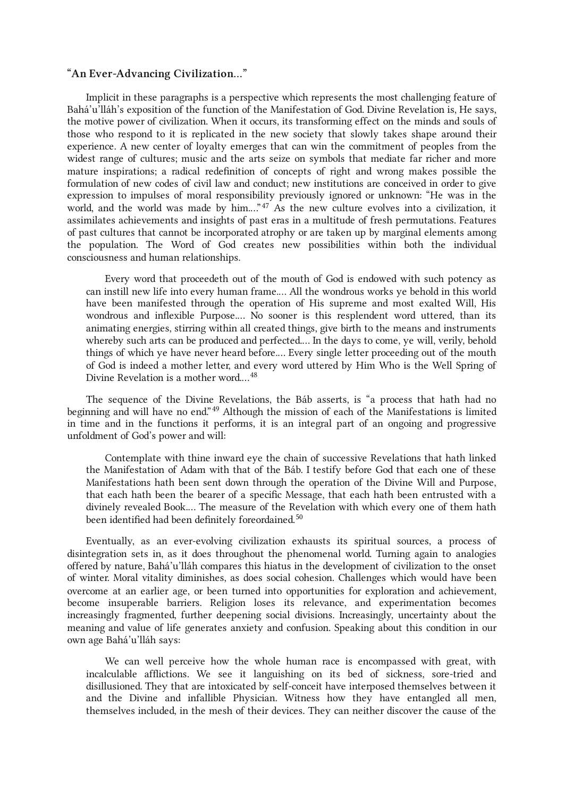# <span id="page-14-0"></span>"An Ever-Advancing Civilization…"

<span id="page-14-1"></span>Implicit in these paragraphs is a perspective which represents the most challenging feature of Bahá'u'lláh's exposition of the function of the Manifestation of God. Divine Revelation is, He says, the motive power of civilization. When it occurs, its transforming effect on the minds and souls of those who respond to it is replicated in the new society that slowly takes shape around their experience. A new center of loyalty emerges that can win the commitment of peoples from the widest range of cultures; music and the arts seize on symbols that mediate far richer and more mature inspirations; a radical redefinition of concepts of right and wrong makes possible the formulation of new codes of civil law and conduct; new institutions are conceived in order to give expression to impulses of moral responsibility previously ignored or unknown: "He was in the world, and the world was made by him...."<sup>[47](#page-31-5)</sup> As the new culture evolves into a civilization, it assimilates achievements and insights of past eras in a multitude of fresh permutations. Features of past cultures that cannot be incorporated atrophy or are taken up by marginal elements among the population. The Word of God creates new possibilities within both the individual consciousness and human relationships.

<span id="page-14-2"></span>Every word that proceedeth out of the mouth of God is endowed with such potency as can instill new life into every human frame.… All the wondrous works ye behold in this world have been manifested through the operation of His supreme and most exalted Will, His wondrous and inflexible Purpose.… No sooner is this resplendent word uttered, than its animating energies, stirring within all created things, give birth to the means and instruments whereby such arts can be produced and perfected.… In the days to come, ye will, verily, behold things of which ye have never heard before.… Every single letter proceeding out of the mouth of God is indeed a mother letter, and every word uttered by Him Who is the Well Spring of Divine Revelation is a mother word.…[48](#page-31-6)

<span id="page-14-3"></span>The sequence of the Divine Revelations, the Báb asserts, is "a process that hath had no beginning and will have no end."<sup>[49](#page-31-7)</sup> Although the mission of each of the Manifestations is limited in time and in the functions it performs, it is an integral part of an ongoing and progressive unfoldment of God's power and will:

<span id="page-14-4"></span>Contemplate with thine inward eye the chain of successive Revelations that hath linked the Manifestation of Adam with that of the Báb. I testify before God that each one of these Manifestations hath been sent down through the operation of the Divine Will and Purpose, that each hath been the bearer of a specific Message, that each hath been entrusted with a divinely revealed Book.… The measure of the Revelation with which every one of them hath been identified had been definitely foreordained. [50](#page-31-8)

Eventually, as an ever-evolving civilization exhausts its spiritual sources, a process of disintegration sets in, as it does throughout the phenomenal world. Turning again to analogies offered by nature, Bahá'u'lláh compares this hiatus in the development of civilization to the onset of winter. Moral vitality diminishes, as does social cohesion. Challenges which would have been overcome at an earlier age, or been turned into opportunities for exploration and achievement, become insuperable barriers. Religion loses its relevance, and experimentation becomes increasingly fragmented, further deepening social divisions. Increasingly, uncertainty about the meaning and value of life generates anxiety and confusion. Speaking about this condition in our own age Bahá'u'lláh says:

<span id="page-14-5"></span>We can well perceive how the whole human race is encompassed with great, with incalculable afflictions. We see it languishing on its bed of sickness, sore-tried and disillusioned. They that are intoxicated by self-conceit have interposed themselves between it and the Divine and infallible Physician. Witness how they have entangled all men, themselves included, in the mesh of their devices. They can neither discover the cause of the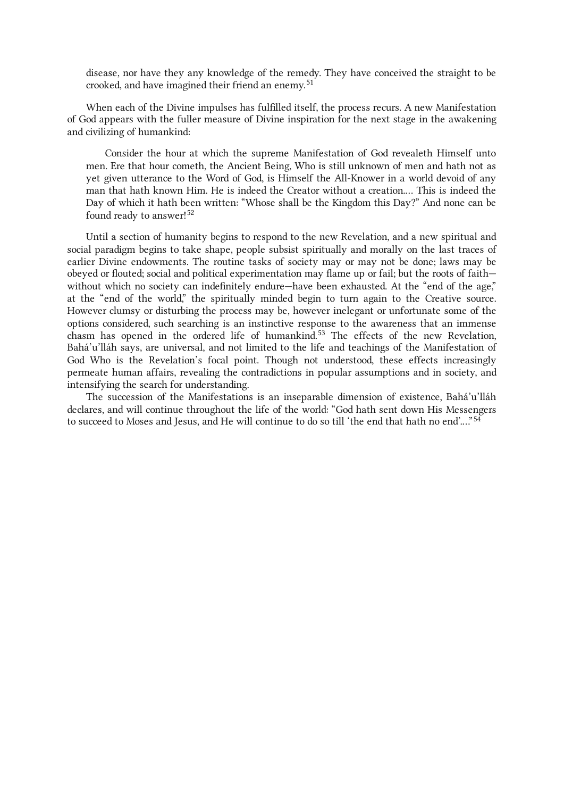disease, nor have they any knowledge of the remedy. They have conceived the straight to be crooked, and have imagined their friend an enemy. [51](#page-31-9)

When each of the Divine impulses has fulfilled itself, the process recurs. A new Manifestation of God appears with the fuller measure of Divine inspiration for the next stage in the awakening and civilizing of humankind:

<span id="page-15-0"></span>Consider the hour at which the supreme Manifestation of God revealeth Himself unto men. Ere that hour cometh, the Ancient Being, Who is still unknown of men and hath not as yet given utterance to the Word of God, is Himself the All-Knower in a world devoid of any man that hath known Him. He is indeed the Creator without a creation.… This is indeed the Day of which it hath been written: "Whose shall be the Kingdom this Day?" And none can be found ready to answer!<sup>[52](#page-31-10)</sup>

<span id="page-15-1"></span>Until a section of humanity begins to respond to the new Revelation, and a new spiritual and social paradigm begins to take shape, people subsist spiritually and morally on the last traces of earlier Divine endowments. The routine tasks of society may or may not be done; laws may be obeyed or flouted; social and political experimentation may flame up or fail; but the roots of faith without which no society can indefinitely endure—have been exhausted. At the "end of the age," at the "end of the world," the spiritually minded begin to turn again to the Creative source. However clumsy or disturbing the process may be, however inelegant or unfortunate some of the options considered, such searching is an instinctive response to the awareness that an immense chasm has opened in the ordered life of humankind. [53](#page-31-11) The effects of the new Revelation, Bahá'u'lláh says, are universal, and not limited to the life and teachings of the Manifestation of God Who is the Revelation's focal point. Though not understood, these effects increasingly permeate human affairs, revealing the contradictions in popular assumptions and in society, and intensifying the search for understanding.

<span id="page-15-2"></span>The succession of the Manifestations is an inseparable dimension of existence, Bahá'u'lláh declares, and will continue throughout the life of the world: "God hath sent down His Messengers to succeed to Moses and Jesus, and He will continue to do so till 'the end that hath no end'.…" [54](#page-31-12)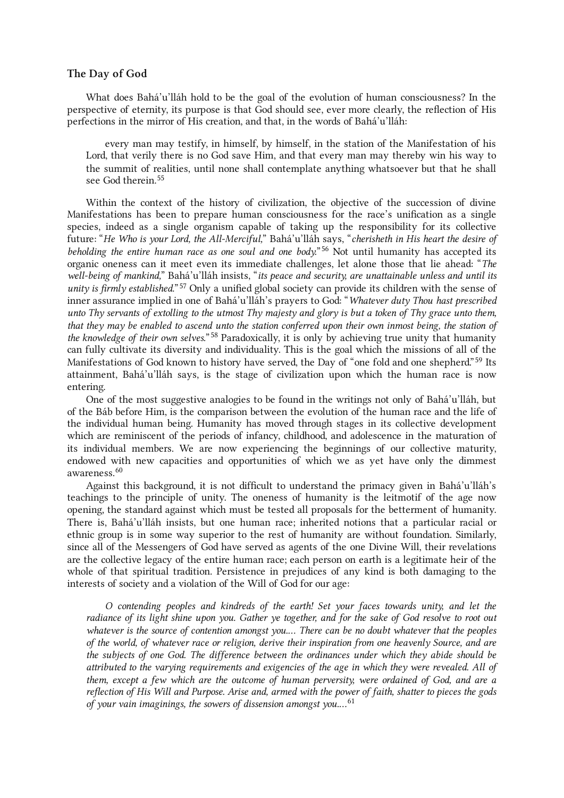# <span id="page-16-0"></span>The Day of God

What does Bahá'u'lláh hold to be the goal of the evolution of human consciousness? In the perspective of eternity, its purpose is that God should see, ever more clearly, the reflection of His perfections in the mirror of His creation, and that, in the words of Bahá'u'lláh:

<span id="page-16-1"></span>every man may testify, in himself, by himself, in the station of the Manifestation of his Lord, that verily there is no God save Him, and that every man may thereby win his way to the summit of realities, until none shall contemplate anything whatsoever but that he shall see God therein. [55](#page-31-13)

<span id="page-16-2"></span>Within the context of the history of civilization, the objective of the succession of divine Manifestations has been to prepare human consciousness for the race's unification as a single species, indeed as a single organism capable of taking up the responsibility for its collective future: "He Who is your Lord, the All-Merciful," Bahá'u'lláh says, "cherisheth in His heart the desire of beholding the entire human race as one soul and one body."<sup>[56](#page-31-14)</sup> Not until humanity has accepted its organic oneness can it meet even its immediate challenges, let alone those that lie ahead: "The well-being of mankind," Bahá'u'lláh insists, "its peace and security, are unattainable unless and until its unity is firmly established."<sup>[57](#page-31-15)</sup> Only a unified global society can provide its children with the sense of inner assurance implied in one of Bahá'u'lláh's prayers to God: "Whatever duty Thou hast prescribed unto Thy servants of extolling to the utmost Thy majesty and glory is but a token of Thy grace unto them, that they may be enabled to ascend unto the station conferred upon their own inmost being, the station of the knowledge of their own selves."<sup>[58](#page-31-16)</sup> Paradoxically, it is only by achieving true unity that humanity can fully cultivate its diversity and individuality. This is the goal which the missions of all of the Manifestations of God known to history have served, the Day of "one fold and one shepherd."<sup>[59](#page-31-17)</sup> Its attainment, Bahá'u'lláh says, is the stage of civilization upon which the human race is now entering.

<span id="page-16-3"></span>One of the most suggestive analogies to be found in the writings not only of Bahá'u'lláh, but of the Báb before Him, is the comparison between the evolution of the human race and the life of the individual human being. Humanity has moved through stages in its collective development which are reminiscent of the periods of infancy, childhood, and adolescence in the maturation of its individual members. We are now experiencing the beginnings of our collective maturity, endowed with new capacities and opportunities of which we as yet have only the dimmest awareness. [60](#page-31-18)

Against this background, it is not difficult to understand the primacy given in Bahá'u'lláh's teachings to the principle of unity. The oneness of humanity is the leitmotif of the age now opening, the standard against which must be tested all proposals for the betterment of humanity. There is, Bahá'u'lláh insists, but one human race; inherited notions that a particular racial or ethnic group is in some way superior to the rest of humanity are without foundation. Similarly, since all of the Messengers of God have served as agents of the one Divine Will, their revelations are the collective legacy of the entire human race; each person on earth is a legitimate heir of the whole of that spiritual tradition. Persistence in prejudices of any kind is both damaging to the interests of society and a violation of the Will of God for our age:

<span id="page-16-4"></span>O contending peoples and kindreds of the earth! Set your faces towards unity, and let the radiance of its light shine upon you. Gather ye together, and for the sake of God resolve to root out whatever is the source of contention amongst you.... There can be no doubt whatever that the peoples of the world, of whatever race or religion, derive their inspiration from one heavenly Source, and are the subjects of one God. The difference between the ordinances under which they abide should be attributed to the varying requirements and exigencies of the age in which they were revealed. All of them, except a few which are the outcome of human perversity, were ordained of God, and are a reflection of His Will and Purpose. Arise and, armed with the power of faith, shatter to pieces the gods of your vain imaginings, the sowers of dissension amongst you....<sup>[61](#page-31-19)</sup>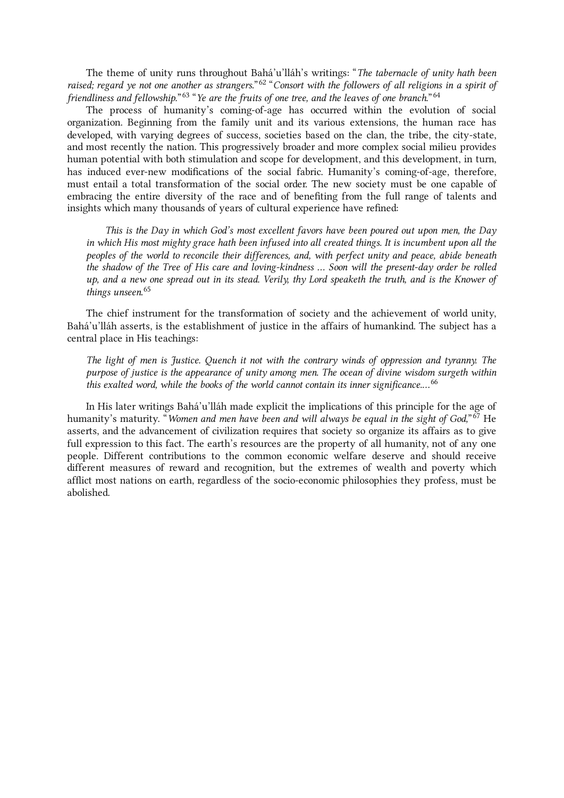<span id="page-17-0"></span>The theme of unity runs throughout Bahá'u'lláh's writings: "The tabernacle of unity hath been raised; regard ye not one another as strangers."<sup>[62](#page-31-20)</sup> "Consort with the followers of all religions in a spirit of friendliness and fellowship."<sup>[63](#page-31-21)</sup> "Ye are the fruits of one tree, and the leaves of one branch."<sup>[64](#page-31-22)</sup>

The process of humanity's coming-of-age has occurred within the evolution of social organization. Beginning from the family unit and its various extensions, the human race has developed, with varying degrees of success, societies based on the clan, the tribe, the city-state, and most recently the nation. This progressively broader and more complex social milieu provides human potential with both stimulation and scope for development, and this development, in turn, has induced ever-new modifications of the social fabric. Humanity's coming-of-age, therefore, must entail a total transformation of the social order. The new society must be one capable of embracing the entire diversity of the race and of benefiting from the full range of talents and insights which many thousands of years of cultural experience have refined:

<span id="page-17-1"></span>This is the Day in which God's most excellent favors have been poured out upon men, the Day in which His most mighty grace hath been infused into all created things. It is incumbent upon all the peoples of the world to reconcile their differences, and, with perfect unity and peace, abide beneath the shadow of the Tree of His care and loving-kindness … Soon will the present-day order be rolled up, and a new one spread out in its stead. Verily, thy Lord speaketh the truth, and is the Knower of things unseen. [65](#page-31-23)

The chief instrument for the transformation of society and the achievement of world unity, Bahá'u'lláh asserts, is the establishment of justice in the affairs of humankind. The subject has a central place in His teachings:

<span id="page-17-2"></span>The light of men is Justice. Quench it not with the contrary winds of oppression and tyranny. The purpose of justice is the appearance of unity among men. The ocean of divine wisdom surgeth within this exalted word, while the books of the world cannot contain its inner significance....<sup>[66](#page-31-24)</sup>

<span id="page-17-3"></span>In His later writings Bahá'u'lláh made explicit the implications of this principle for the age of humanity's maturity. "*Women and men have been and will always be equal in the sight of God,*" <sup>[67](#page-31-25)</sup> He asserts, and the advancement of civilization requires that society so organize its affairs as to give full expression to this fact. The earth's resources are the property of all humanity, not of any one people. Different contributions to the common economic welfare deserve and should receive different measures of reward and recognition, but the extremes of wealth and poverty which afflict most nations on earth, regardless of the socio-economic philosophies they profess, must be abolished.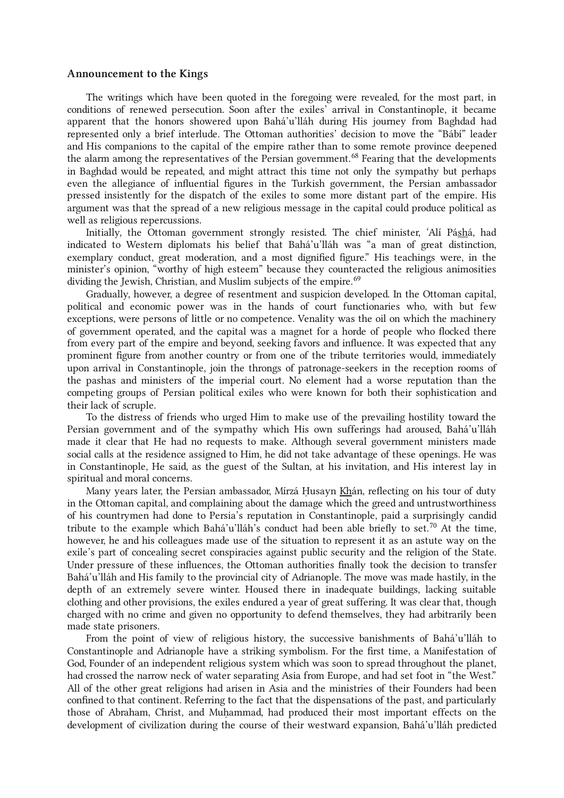#### <span id="page-18-0"></span>Announcement to the Kings

<span id="page-18-1"></span>The writings which have been quoted in the foregoing were revealed, for the most part, in conditions of renewed persecution. Soon after the exiles' arrival in Constantinople, it became apparent that the honors showered upon Bahá'u'lláh during His journey from Baghdad had represented only a brief interlude. The Ottoman authorities' decision to move the "Bábí" leader and His companions to the capital of the empire rather than to some remote province deepened the alarm among the representatives of the Persian government.<sup>[68](#page-31-26)</sup> Fearing that the developments in Baghdad would be repeated, and might attract this time not only the sympathy but perhaps even the allegiance of influential figures in the Turkish government, the Persian ambassador pressed insistently for the dispatch of the exiles to some more distant part of the empire. His argument was that the spread of a new religious message in the capital could produce political as well as religious repercussions.

<span id="page-18-2"></span>Initially, the Ottoman government strongly resisted. The chief minister, 'Alí Páshá, had indicated to Western diplomats his belief that Bahá'u'lláh was "a man of great distinction, exemplary conduct, great moderation, and a most dignified figure." His teachings were, in the minister's opinion, "worthy of high esteem" because they counteracted the religious animosities dividing the Jewish, Christian, and Muslim subjects of the empire. [69](#page-32-0)

Gradually, however, a degree of resentment and suspicion developed. In the Ottoman capital, political and economic power was in the hands of court functionaries who, with but few exceptions, were persons of little or no competence. Venality was the oil on which the machinery of government operated, and the capital was a magnet for a horde of people who flocked there from every part of the empire and beyond, seeking favors and influence. It was expected that any prominent figure from another country or from one of the tribute territories would, immediately upon arrival in Constantinople, join the throngs of patronage-seekers in the reception rooms of the pashas and ministers of the imperial court. No element had a worse reputation than the competing groups of Persian political exiles who were known for both their sophistication and their lack of scruple.

To the distress of friends who urged Him to make use of the prevailing hostility toward the Persian government and of the sympathy which His own sufferings had aroused, Bahá'u'lláh made it clear that He had no requests to make. Although several government ministers made social calls at the residence assigned to Him, he did not take advantage of these openings. He was in Constantinople, He said, as the guest of the Sultan, at his invitation, and His interest lay in spiritual and moral concerns.

<span id="page-18-3"></span>Many years later, the Persian ambassador, Mírzá Husayn Khán, reflecting on his tour of duty in the Ottoman capital, and complaining about the damage which the greed and untrustworthiness of his countrymen had done to Persia's reputation in Constantinople, paid a surprisingly candid tribute to the example which Bahá'u'lláh's conduct had been able briefly to set.<sup>[70](#page-32-1)</sup> At the time, however, he and his colleagues made use of the situation to represent it as an astute way on the exile's part of concealing secret conspiracies against public security and the religion of the State. Under pressure of these influences, the Ottoman authorities finally took the decision to transfer Bahá'u'lláh and His family to the provincial city of Adrianople. The move was made hastily, in the depth of an extremely severe winter. Housed there in inadequate buildings, lacking suitable clothing and other provisions, the exiles endured a year of great suffering. It was clear that, though charged with no crime and given no opportunity to defend themselves, they had arbitrarily been made state prisoners.

<span id="page-18-4"></span>From the point of view of religious history, the successive banishments of Bahá'u'lláh to Constantinople and Adrianople have a striking symbolism. For the first time, a Manifestation of God, Founder of an independent religious system which was soon to spread throughout the planet, had crossed the narrow neck of water separating Asia from Europe, and had set foot in "the West." All of the other great religions had arisen in Asia and the ministries of their Founders had been confined to that continent. Referring to the fact that the dispensations of the past, and particularly those of Abraham, Christ, and Muhammad, had produced their most important effects on the development of civilization during the course of their westward expansion, Bahá'u'lláh predicted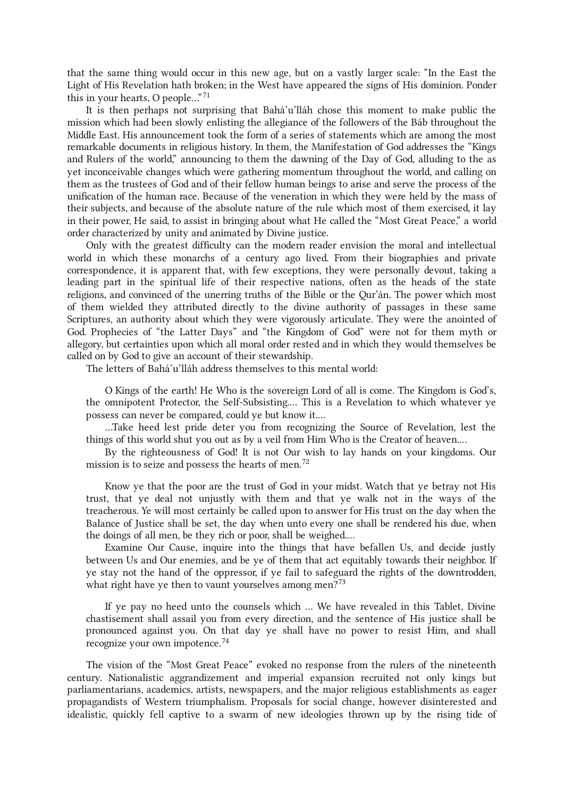that the same thing would occur in this new age, but on a vastly larger scale: "In the East the Light of His Revelation hath broken; in the West have appeared the signs of His dominion. Ponder this in your hearts, O people..."<sup>[71](#page-32-2)</sup>

It is then perhaps not surprising that Bahá'u'lláh chose this moment to make public the mission which had been slowly enlisting the allegiance of the followers of the Báb throughout the Middle East. His announcement took the form of a series of statements which are among the most remarkable documents in religious history. In them, the Manifestation of God addresses the "Kings and Rulers of the world," announcing to them the dawning of the Day of God, alluding to the as yet inconceivable changes which were gathering momentum throughout the world, and calling on them as the trustees of God and of their fellow human beings to arise and serve the process of the unification of the human race. Because of the veneration in which they were held by the mass of their subjects, and because of the absolute nature of the rule which most of them exercised, it lay in their power, He said, to assist in bringing about what He called the "Most Great Peace," a world order characterized by unity and animated by Divine justice.

Only with the greatest difficulty can the modern reader envision the moral and intellectual world in which these monarchs of a century ago lived. From their biographies and private correspondence, it is apparent that, with few exceptions, they were personally devout, taking a leading part in the spiritual life of their respective nations, often as the heads of the state religions, and convinced of the unerring truths of the Bible or the Qur'án. The power which most of them wielded they attributed directly to the divine authority of passages in these same Scriptures, an authority about which they were vigorously articulate. They were the anointed of God. Prophecies of "the Latter Days" and "the Kingdom of God" were not for them myth or allegory, but certainties upon which all moral order rested and in which they would themselves be called on by God to give an account of their stewardship.

The letters of Bahá'u'lláh address themselves to this mental world:

O Kings of the earth! He Who is the sovereign Lord of all is come. The Kingdom is God's, the omnipotent Protector, the Self-Subsisting.… This is a Revelation to which whatever ye possess can never be compared, could ye but know it.…

…Take heed lest pride deter you from recognizing the Source of Revelation, lest the things of this world shut you out as by a veil from Him Who is the Creator of heaven.…

<span id="page-19-0"></span>By the righteousness of God! It is not Our wish to lay hands on your kingdoms. Our mission is to seize and possess the hearts of men.<sup>[72](#page-32-3)</sup>

Know ye that the poor are the trust of God in your midst. Watch that ye betray not His trust, that ye deal not unjustly with them and that ye walk not in the ways of the treacherous. Ye will most certainly be called upon to answer for His trust on the day when the Balance of Justice shall be set, the day when unto every one shall be rendered his due, when the doings of all men, be they rich or poor, shall be weighed.…

<span id="page-19-1"></span>Examine Our Cause, inquire into the things that have befallen Us, and decide justly between Us and Our enemies, and be ye of them that act equitably towards their neighbor. If ye stay not the hand of the oppressor, if ye fail to safeguard the rights of the downtrodden, what right have ye then to vaunt yourselves among men? $73$ 

<span id="page-19-2"></span>If ye pay no heed unto the counsels which … We have revealed in this Tablet, Divine chastisement shall assail you from every direction, and the sentence of His justice shall be pronounced against you. On that day ye shall have no power to resist Him, and shall recognize your own impotence. [74](#page-32-5)

The vision of the "Most Great Peace" evoked no response from the rulers of the nineteenth century. Nationalistic aggrandizement and imperial expansion recruited not only kings but parliamentarians, academics, artists, newspapers, and the major religious establishments as eager propagandists of Western triumphalism. Proposals for social change, however disinterested and idealistic, quickly fell captive to a swarm of new ideologies thrown up by the rising tide of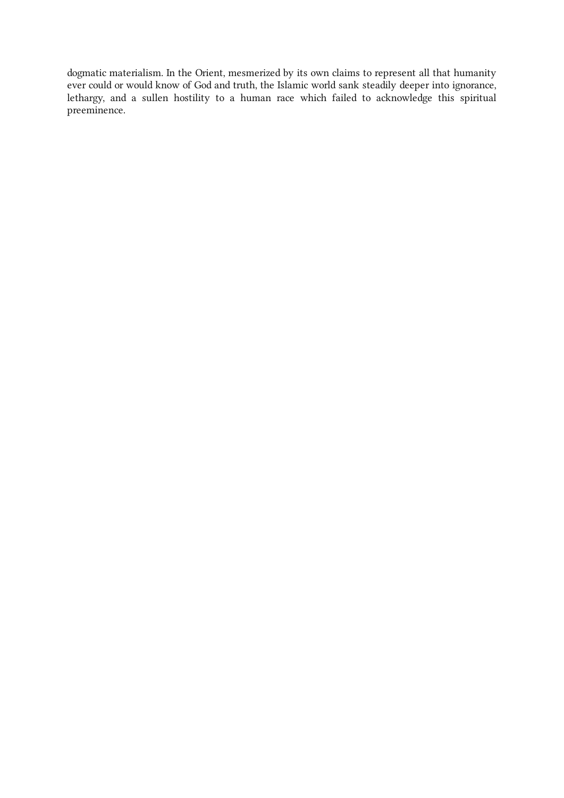dogmatic materialism. In the Orient, mesmerized by its own claims to represent all that humanity ever could or would know of God and truth, the Islamic world sank steadily deeper into ignorance, lethargy, and a sullen hostility to a human race which failed to acknowledge this spiritual preeminence.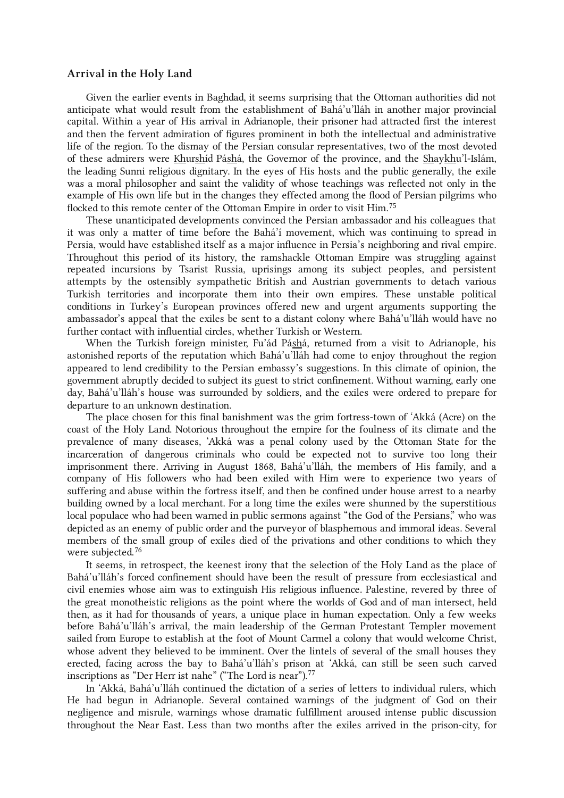#### <span id="page-21-0"></span>Arrival in the Holy Land

<span id="page-21-1"></span>Given the earlier events in Baghdad, it seems surprising that the Ottoman authorities did not anticipate what would result from the establishment of Bahá'u'lláh in another major provincial capital. Within a year of His arrival in Adrianople, their prisoner had attracted first the interest and then the fervent admiration of figures prominent in both the intellectual and administrative life of the region. To the dismay of the Persian consular representatives, two of the most devoted of these admirers were Khurshíd Páshá, the Governor of the province, and the Shaykhu'l-Islám, the leading Sunni religious dignitary. In the eyes of His hosts and the public generally, the exile was a moral philosopher and saint the validity of whose teachings was reflected not only in the example of His own life but in the changes they effected among the flood of Persian pilgrims who flocked to this remote center of the Ottoman Empire in order to visit Him.<sup>[75](#page-32-6)</sup>

These unanticipated developments convinced the Persian ambassador and his colleagues that it was only a matter of time before the Bahá'í movement, which was continuing to spread in Persia, would have established itself as a major influence in Persia's neighboring and rival empire. Throughout this period of its history, the ramshackle Ottoman Empire was struggling against repeated incursions by Tsarist Russia, uprisings among its subject peoples, and persistent attempts by the ostensibly sympathetic British and Austrian governments to detach various Turkish territories and incorporate them into their own empires. These unstable political conditions in Turkey's European provinces offered new and urgent arguments supporting the ambassador's appeal that the exiles be sent to a distant colony where Bahá'u'lláh would have no further contact with influential circles, whether Turkish or Western.

When the Turkish foreign minister, Fu'ád Páshá, returned from a visit to Adrianople, his astonished reports of the reputation which Bahá'u'lláh had come to enjoy throughout the region appeared to lend credibility to the Persian embassy's suggestions. In this climate of opinion, the government abruptly decided to subject its guest to strict confinement. Without warning, early one day, Bahá'u'lláh's house was surrounded by soldiers, and the exiles were ordered to prepare for departure to an unknown destination.

<span id="page-21-2"></span>The place chosen for this final banishment was the grim fortress-town of 'Akká (Acre) on the coast of the Holy Land. Notorious throughout the empire for the foulness of its climate and the prevalence of many diseases, 'Akká was a penal colony used by the Ottoman State for the incarceration of dangerous criminals who could be expected not to survive too long their imprisonment there. Arriving in August 1868, Bahá'u'lláh, the members of His family, and a company of His followers who had been exiled with Him were to experience two years of suffering and abuse within the fortress itself, and then be confined under house arrest to a nearby building owned by a local merchant. For a long time the exiles were shunned by the superstitious local populace who had been warned in public sermons against "the God of the Persians," who was depicted as an enemy of public order and the purveyor of blasphemous and immoral ideas. Several members of the small group of exiles died of the privations and other conditions to which they were subjected.<sup>[76](#page-32-7)</sup>

<span id="page-21-3"></span>It seems, in retrospect, the keenest irony that the selection of the Holy Land as the place of Bahá'u'lláh's forced confinement should have been the result of pressure from ecclesiastical and civil enemies whose aim was to extinguish His religious influence. Palestine, revered by three of the great monotheistic religions as the point where the worlds of God and of man intersect, held then, as it had for thousands of years, a unique place in human expectation. Only a few weeks before Bahá'u'lláh's arrival, the main leadership of the German Protestant Templer movement sailed from Europe to establish at the foot of Mount Carmel a colony that would welcome Christ, whose advent they believed to be imminent. Over the lintels of several of the small houses they erected, facing across the bay to Bahá'u'lláh's prison at 'Akká, can still be seen such carved inscriptions as "Der Herr ist nahe" ("The Lord is near"). [77](#page-32-8)

<span id="page-21-4"></span>In 'Akká, Bahá'u'lláh continued the dictation of a series of letters to individual rulers, which He had begun in Adrianople. Several contained warnings of the judgment of God on their negligence and misrule, warnings whose dramatic fulfillment aroused intense public discussion throughout the Near East. Less than two months after the exiles arrived in the prison-city, for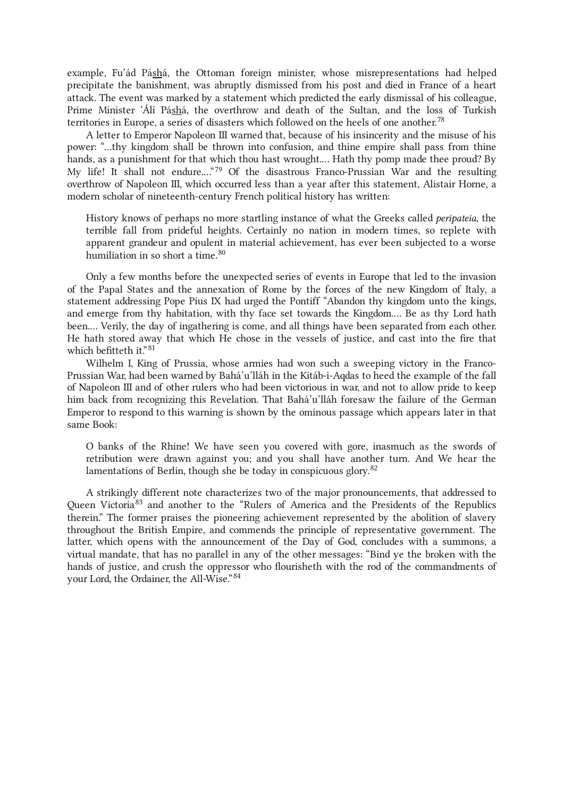example, Fu'ád Páshá, the Ottoman foreign minister, whose misrepresentations had helped precipitate the banishment, was abruptly dismissed from his post and died in France of a heart attack. The event was marked by a statement which predicted the early dismissal of his colleague, Prime Minister 'Álí Páshá, the overthrow and death of the Sultan, and the loss of Turkish territories in Europe, a series of disasters which followed on the heels of one another. [78](#page-32-9)

<span id="page-22-0"></span>A letter to Emperor Napoleon III warned that, because of his insincerity and the misuse of his power: "…thy kingdom shall be thrown into confusion, and thine empire shall pass from thine hands, as a punishment for that which thou hast wrought.… Hath thy pomp made thee proud? By My life! It shall not endure.…" [79](#page-32-10) Of the disastrous Franco-Prussian War and the resulting overthrow of Napoleon III, which occurred less than a year after this statement, Alistair Horne, a modern scholar of nineteenth-century French political history has written:

<span id="page-22-1"></span>History knows of perhaps no more startling instance of what the Greeks called peripateia, the terrible fall from prideful heights. Certainly no nation in modern times, so replete with apparent grandeur and opulent in material achievement, has ever been subjected to a worse humiliation in so short a time. [80](#page-32-11)

<span id="page-22-2"></span>Only a few months before the unexpected series of events in Europe that led to the invasion of the Papal States and the annexation of Rome by the forces of the new Kingdom of Italy, a statement addressing Pope Pius IX had urged the Pontiff "Abandon thy kingdom unto the kings, and emerge from thy habitation, with thy face set towards the Kingdom.… Be as thy Lord hath been.… Verily, the day of ingathering is come, and all things have been separated from each other. He hath stored away that which He chose in the vessels of justice, and cast into the fire that which befitteth it." [81](#page-32-12)

Wilhelm I, King of Prussia, whose armies had won such a sweeping victory in the Franco-Prussian War, had been warned by Bahá'u'lláh in the Kitáb-i-Aqdas to heed the example of the fall of Napoleon III and of other rulers who had been victorious in war, and not to allow pride to keep him back from recognizing this Revelation. That Bahá'u'lláh foresaw the failure of the German Emperor to respond to this warning is shown by the ominous passage which appears later in that same Book:

<span id="page-22-3"></span>O banks of the Rhine! We have seen you covered with gore, inasmuch as the swords of retribution were drawn against you; and you shall have another turn. And We hear the lamentations of Berlin, though she be today in conspicuous glory.<sup>[82](#page-32-13)</sup>

<span id="page-22-4"></span>A strikingly different note characterizes two of the major pronouncements, that addressed to Queen Victoria<sup>[83](#page-32-14)</sup> and another to the "Rulers of America and the Presidents of the Republics therein." The former praises the pioneering achievement represented by the abolition of slavery throughout the British Empire, and commends the principle of representative government. The latter, which opens with the announcement of the Day of God, concludes with a summons, a virtual mandate, that has no parallel in any of the other messages: "Bind ye the broken with the hands of justice, and crush the oppressor who flourisheth with the rod of the commandments of your Lord, the Ordainer, the All-Wise." [84](#page-32-15)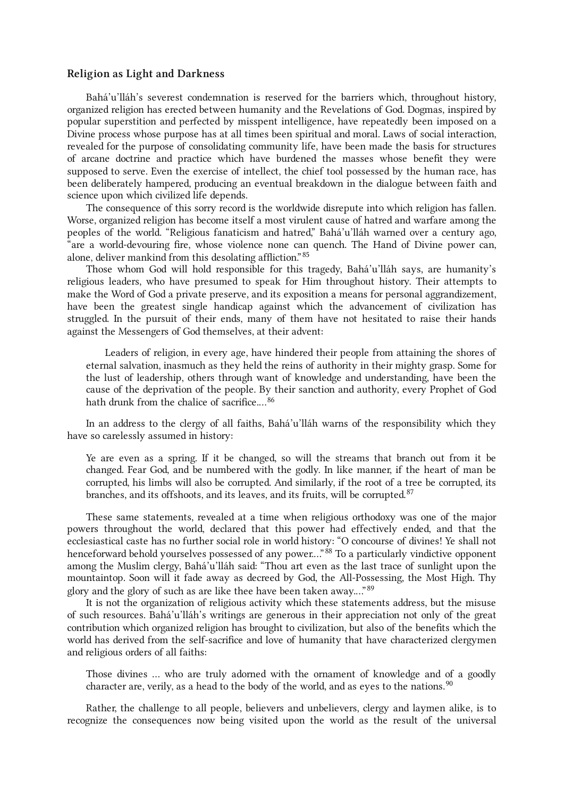#### <span id="page-23-0"></span>Religion as Light and Darkness

Bahá'u'lláh's severest condemnation is reserved for the barriers which, throughout history, organized religion has erected between humanity and the Revelations of God. Dogmas, inspired by popular superstition and perfected by misspent intelligence, have repeatedly been imposed on a Divine process whose purpose has at all times been spiritual and moral. Laws of social interaction, revealed for the purpose of consolidating community life, have been made the basis for structures of arcane doctrine and practice which have burdened the masses whose benefit they were supposed to serve. Even the exercise of intellect, the chief tool possessed by the human race, has been deliberately hampered, producing an eventual breakdown in the dialogue between faith and science upon which civilized life depends.

<span id="page-23-1"></span>The consequence of this sorry record is the worldwide disrepute into which religion has fallen. Worse, organized religion has become itself a most virulent cause of hatred and warfare among the peoples of the world. "Religious fanaticism and hatred," Bahá'u'lláh warned over a century ago, "are a world-devouring fire, whose violence none can quench. The Hand of Divine power can, alone, deliver mankind from this desolating affliction." [85](#page-32-16)

Those whom God will hold responsible for this tragedy, Bahá'u'lláh says, are humanity's religious leaders, who have presumed to speak for Him throughout history. Their attempts to make the Word of God a private preserve, and its exposition a means for personal aggrandizement, have been the greatest single handicap against which the advancement of civilization has struggled. In the pursuit of their ends, many of them have not hesitated to raise their hands against the Messengers of God themselves, at their advent:

<span id="page-23-2"></span>Leaders of religion, in every age, have hindered their people from attaining the shores of eternal salvation, inasmuch as they held the reins of authority in their mighty grasp. Some for the lust of leadership, others through want of knowledge and understanding, have been the cause of the deprivation of the people. By their sanction and authority, every Prophet of God hath drunk from the chalice of sacrifice....<sup>[86](#page-32-17)</sup>

In an address to the clergy of all faiths, Bahá'u'lláh warns of the responsibility which they have so carelessly assumed in history:

<span id="page-23-3"></span>Ye are even as a spring. If it be changed, so will the streams that branch out from it be changed. Fear God, and be numbered with the godly. In like manner, if the heart of man be corrupted, his limbs will also be corrupted. And similarly, if the root of a tree be corrupted, its branches, and its offshoots, and its leaves, and its fruits, will be corrupted.<sup>[87](#page-32-18)</sup>

<span id="page-23-4"></span>These same statements, revealed at a time when religious orthodoxy was one of the major powers throughout the world, declared that this power had effectively ended, and that the ecclesiastical caste has no further social role in world history: "O concourse of divines! Ye shall not henceforward behold yourselves possessed of any power...."<sup>[88](#page-32-19)</sup> To a particularly vindictive opponent among the Muslim clergy, Bahá'u'lláh said: "Thou art even as the last trace of sunlight upon the mountaintop. Soon will it fade away as decreed by God, the All-Possessing, the Most High. Thy glory and the glory of such as are like thee have been taken away..."<sup>[89](#page-32-20)</sup>

It is not the organization of religious activity which these statements address, but the misuse of such resources. Bahá'u'lláh's writings are generous in their appreciation not only of the great contribution which organized religion has brought to civilization, but also of the benefits which the world has derived from the self-sacrifice and love of humanity that have characterized clergymen and religious orders of all faiths:

<span id="page-23-5"></span>Those divines … who are truly adorned with the ornament of knowledge and of a goodly character are, verily, as a head to the body of the world, and as eyes to the nations. $90$ 

Rather, the challenge to all people, believers and unbelievers, clergy and laymen alike, is to recognize the consequences now being visited upon the world as the result of the universal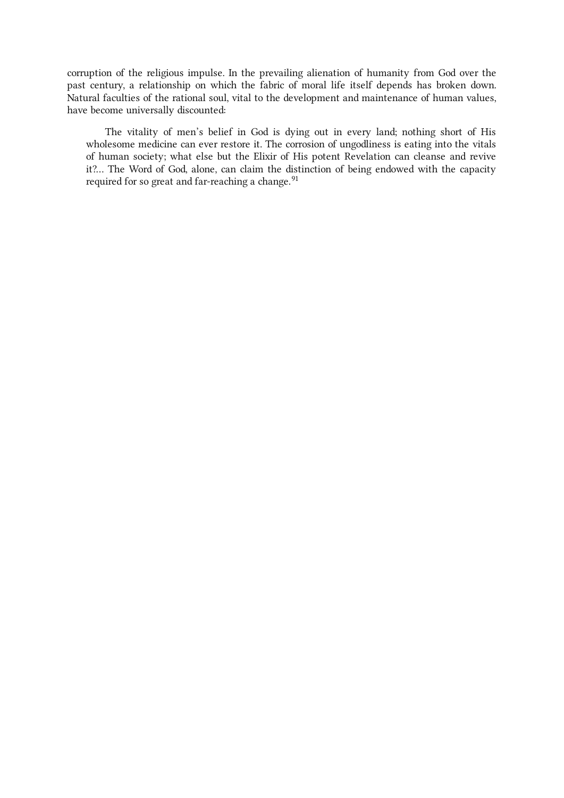corruption of the religious impulse. In the prevailing alienation of humanity from God over the past century, a relationship on which the fabric of moral life itself depends has broken down. Natural faculties of the rational soul, vital to the development and maintenance of human values, have become universally discounted:

<span id="page-24-0"></span>The vitality of men's belief in God is dying out in every land; nothing short of His wholesome medicine can ever restore it. The corrosion of ungodliness is eating into the vitals of human society; what else but the Elixir of His potent Revelation can cleanse and revive it?… The Word of God, alone, can claim the distinction of being endowed with the capacity required for so great and far-reaching a change.<sup>[91](#page-32-22)</sup>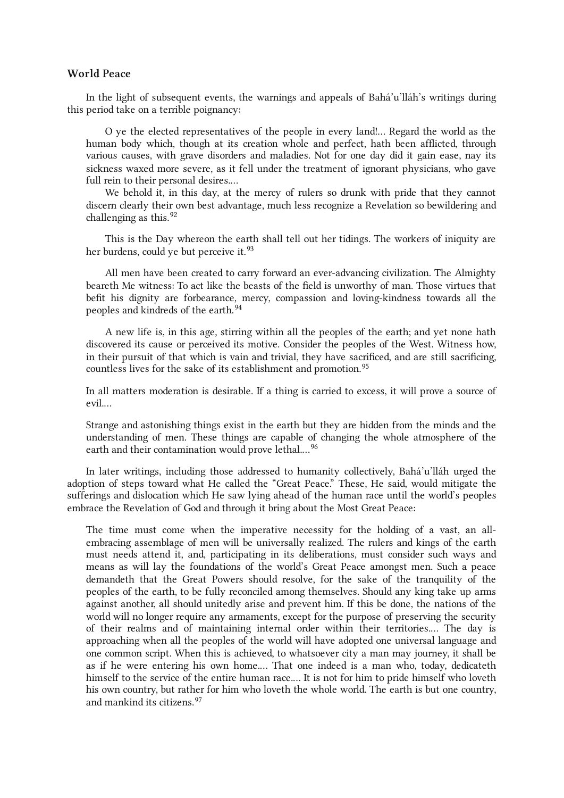# <span id="page-25-0"></span>World Peace

In the light of subsequent events, the warnings and appeals of Bahá'u'lláh's writings during this period take on a terrible poignancy:

O ye the elected representatives of the people in every land!… Regard the world as the human body which, though at its creation whole and perfect, hath been afflicted, through various causes, with grave disorders and maladies. Not for one day did it gain ease, nay its sickness waxed more severe, as it fell under the treatment of ignorant physicians, who gave full rein to their personal desires.…

<span id="page-25-1"></span>We behold it, in this day, at the mercy of rulers so drunk with pride that they cannot discern clearly their own best advantage, much less recognize a Revelation so bewildering and challenging as this. [92](#page-32-23)

<span id="page-25-2"></span>This is the Day whereon the earth shall tell out her tidings. The workers of iniquity are her burdens, could ye but perceive it.<sup>[93](#page-32-24)</sup>

<span id="page-25-3"></span>All men have been created to carry forward an ever-advancing civilization. The Almighty beareth Me witness: To act like the beasts of the field is unworthy of man. Those virtues that befit his dignity are forbearance, mercy, compassion and loving-kindness towards all the peoples and kindreds of the earth. [94](#page-32-25)

<span id="page-25-4"></span>A new life is, in this age, stirring within all the peoples of the earth; and yet none hath discovered its cause or perceived its motive. Consider the peoples of the West. Witness how, in their pursuit of that which is vain and trivial, they have sacrificed, and are still sacrificing, countless lives for the sake of its establishment and promotion. [95](#page-32-26)

In all matters moderation is desirable. If a thing is carried to excess, it will prove a source of evil.…

<span id="page-25-5"></span>Strange and astonishing things exist in the earth but they are hidden from the minds and the understanding of men. These things are capable of changing the whole atmosphere of the earth and their contamination would prove lethal....<sup>[96](#page-32-27)</sup>

In later writings, including those addressed to humanity collectively, Bahá'u'lláh urged the adoption of steps toward what He called the "Great Peace." These, He said, would mitigate the sufferings and dislocation which He saw lying ahead of the human race until the world's peoples embrace the Revelation of God and through it bring about the Most Great Peace:

<span id="page-25-6"></span>The time must come when the imperative necessity for the holding of a vast, an allembracing assemblage of men will be universally realized. The rulers and kings of the earth must needs attend it, and, participating in its deliberations, must consider such ways and means as will lay the foundations of the world's Great Peace amongst men. Such a peace demandeth that the Great Powers should resolve, for the sake of the tranquility of the peoples of the earth, to be fully reconciled among themselves. Should any king take up arms against another, all should unitedly arise and prevent him. If this be done, the nations of the world will no longer require any armaments, except for the purpose of preserving the security of their realms and of maintaining internal order within their territories.… The day is approaching when all the peoples of the world will have adopted one universal language and one common script. When this is achieved, to whatsoever city a man may journey, it shall be as if he were entering his own home.… That one indeed is a man who, today, dedicateth himself to the service of the entire human race.… It is not for him to pride himself who loveth his own country, but rather for him who loveth the whole world. The earth is but one country, and mankind its citizens. [97](#page-32-28)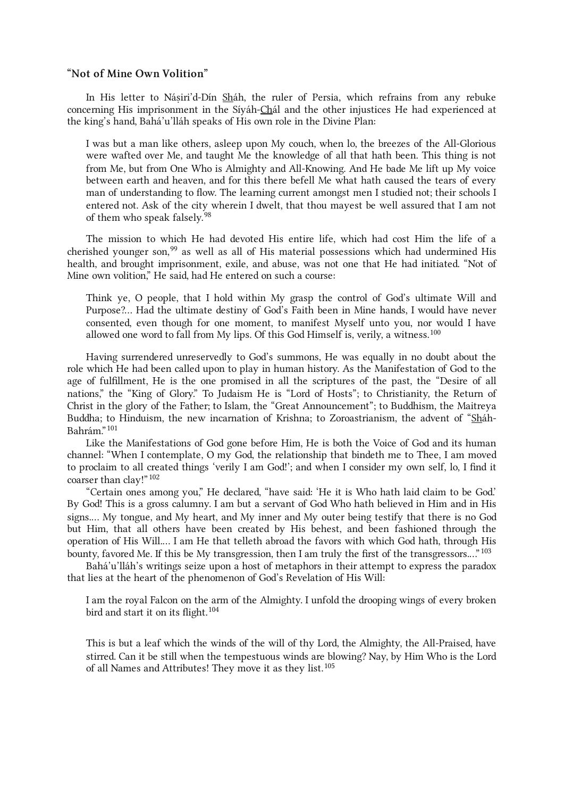# <span id="page-26-0"></span>"Not of Mine Own Volition"

In His letter to Náṣiri'd-Dín Sháh, the ruler of Persia, which refrains from any rebuke concerning His imprisonment in the Síyáh-Chál and the other injustices He had experienced at the king's hand, Bahá'u'lláh speaks of His own role in the Divine Plan:

<span id="page-26-1"></span>I was but a man like others, asleep upon My couch, when lo, the breezes of the All-Glorious were wafted over Me, and taught Me the knowledge of all that hath been. This thing is not from Me, but from One Who is Almighty and All-Knowing. And He bade Me lift up My voice between earth and heaven, and for this there befell Me what hath caused the tears of every man of understanding to flow. The learning current amongst men I studied not; their schools I entered not. Ask of the city wherein I dwelt, that thou mayest be well assured that I am not of them who speak falsely.<sup>[98](#page-32-29)</sup>

<span id="page-26-2"></span>The mission to which He had devoted His entire life, which had cost Him the life of a cherished younger son,<sup>[99](#page-32-30)</sup> as well as all of His material possessions which had undermined His health, and brought imprisonment, exile, and abuse, was not one that He had initiated. "Not of Mine own volition," He said, had He entered on such a course:

<span id="page-26-3"></span>Think ye, O people, that I hold within My grasp the control of God's ultimate Will and Purpose?… Had the ultimate destiny of God's Faith been in Mine hands, I would have never consented, even though for one moment, to manifest Myself unto you, nor would I have allowed one word to fall from My lips. Of this God Himself is, verily, a witness. $^{100}$  $^{100}$  $^{100}$ 

<span id="page-26-4"></span>Having surrendered unreservedly to God's summons, He was equally in no doubt about the role which He had been called upon to play in human history. As the Manifestation of God to the age of fulfillment, He is the one promised in all the scriptures of the past, the "Desire of all nations," the "King of Glory." To Judaism He is "Lord of Hosts"; to Christianity, the Return of Christ in the glory of the Father; to Islam, the "Great Announcement"; to Buddhism, the Maitreya Buddha; to Hinduism, the new incarnation of Krishna; to Zoroastrianism, the advent of "Sháh-Bahrám." [101](#page-32-32)

<span id="page-26-5"></span>Like the Manifestations of God gone before Him, He is both the Voice of God and its human channel: "When I contemplate, O my God, the relationship that bindeth me to Thee, I am moved to proclaim to all created things 'verily I am God!'; and when I consider my own self, lo, I find it coarser than clay!" [102](#page-32-33)

<span id="page-26-6"></span>"Certain ones among you," He declared, "have said: 'He it is Who hath laid claim to be God.' By God! This is a gross calumny. I am but a servant of God Who hath believed in Him and in His signs.… My tongue, and My heart, and My inner and My outer being testify that there is no God but Him, that all others have been created by His behest, and been fashioned through the operation of His Will.… I am He that telleth abroad the favors with which God hath, through His bounty, favored Me. If this be My transgression, then I am truly the first of the transgressors...."<sup>[103](#page-33-0)</sup>

Bahá'u'lláh's writings seize upon a host of metaphors in their attempt to express the paradox that lies at the heart of the phenomenon of God's Revelation of His Will:

<span id="page-26-7"></span>I am the royal Falcon on the arm of the Almighty. I unfold the drooping wings of every broken bird and start it on its flight.<sup>[104](#page-33-1)</sup>

<span id="page-26-8"></span>This is but a leaf which the winds of the will of thy Lord, the Almighty, the All-Praised, have stirred. Can it be still when the tempestuous winds are blowing? Nay, by Him Who is the Lord of all Names and Attributes! They move it as they list.<sup>[105](#page-33-2)</sup>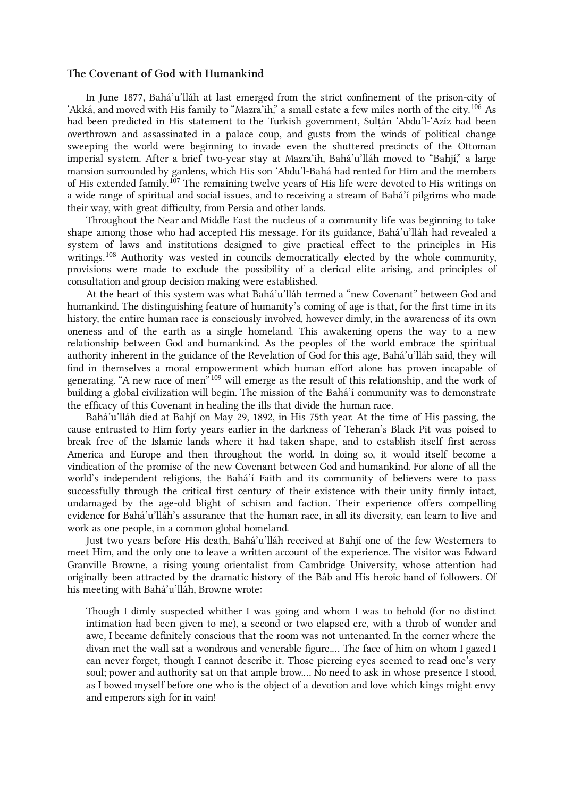#### <span id="page-27-0"></span>The Covenant of God with Humankind

<span id="page-27-1"></span>In June 1877, Bahá'u'lláh at last emerged from the strict confinement of the prison-city of 'Akká, and moved with His family to "Mazra'ih," a small estate a few miles north of the city.<sup>[106](#page-33-3)</sup> As had been predicted in His statement to the Turkish government, Sulṭán 'Abdu'l-'Azíz had been overthrown and assassinated in a palace coup, and gusts from the winds of political change sweeping the world were beginning to invade even the shuttered precincts of the Ottoman imperial system. After a brief two-year stay at Mazra'ih, Bahá'u'lláh moved to "Bahjí," a large mansion surrounded by gardens, which His son 'Abdu'l‑Bahá had rented for Him and the members of His extended family.<sup>[107](#page-33-4)</sup> The remaining twelve years of His life were devoted to His writings on a wide range of spiritual and social issues, and to receiving a stream of Bahá'í pilgrims who made their way, with great difficulty, from Persia and other lands.

<span id="page-27-2"></span>Throughout the Near and Middle East the nucleus of a community life was beginning to take shape among those who had accepted His message. For its guidance, Bahá'u'lláh had revealed a system of laws and institutions designed to give practical effect to the principles in His writings.<sup>[108](#page-33-5)</sup> Authority was vested in councils democratically elected by the whole community, provisions were made to exclude the possibility of a clerical elite arising, and principles of consultation and group decision making were established.

<span id="page-27-3"></span>At the heart of this system was what Bahá'u'lláh termed a "new Covenant" between God and humankind. The distinguishing feature of humanity's coming of age is that, for the first time in its history, the entire human race is consciously involved, however dimly, in the awareness of its own oneness and of the earth as a single homeland. This awakening opens the way to a new relationship between God and humankind. As the peoples of the world embrace the spiritual authority inherent in the guidance of the Revelation of God for this age, Bahá'u'lláh said, they will find in themselves a moral empowerment which human effort alone has proven incapable of generating. "A new race of men" [109](#page-33-6) will emerge as the result of this relationship, and the work of building a global civilization will begin. The mission of the Bahá'í community was to demonstrate the efficacy of this Covenant in healing the ills that divide the human race.

Bahá'u'lláh died at Bahjí on May 29, 1892, in His 75th year. At the time of His passing, the cause entrusted to Him forty years earlier in the darkness of Teheran's Black Pit was poised to break free of the Islamic lands where it had taken shape, and to establish itself first across America and Europe and then throughout the world. In doing so, it would itself become a vindication of the promise of the new Covenant between God and humankind. For alone of all the world's independent religions, the Bahá'í Faith and its community of believers were to pass successfully through the critical first century of their existence with their unity firmly intact, undamaged by the age-old blight of schism and faction. Their experience offers compelling evidence for Bahá'u'lláh's assurance that the human race, in all its diversity, can learn to live and work as one people, in a common global homeland.

Just two years before His death, Bahá'u'lláh received at Bahjí one of the few Westerners to meet Him, and the only one to leave a written account of the experience. The visitor was Edward Granville Browne, a rising young orientalist from Cambridge University, whose attention had originally been attracted by the dramatic history of the Báb and His heroic band of followers. Of his meeting with Bahá'u'lláh, Browne wrote:

Though I dimly suspected whither I was going and whom I was to behold (for no distinct intimation had been given to me), a second or two elapsed ere, with a throb of wonder and awe, I became definitely conscious that the room was not untenanted. In the corner where the divan met the wall sat a wondrous and venerable figure.… The face of him on whom I gazed I can never forget, though I cannot describe it. Those piercing eyes seemed to read one's very soul; power and authority sat on that ample brow.… No need to ask in whose presence I stood, as I bowed myself before one who is the object of a devotion and love which kings might envy and emperors sigh for in vain!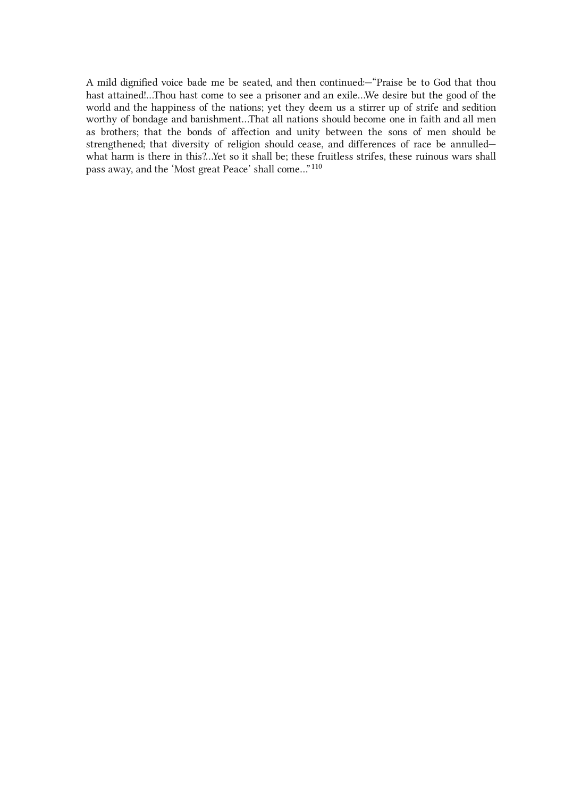<span id="page-28-0"></span>A mild dignified voice bade me be seated, and then continued:—"Praise be to God that thou hast attained!…Thou hast come to see a prisoner and an exile…We desire but the good of the world and the happiness of the nations; yet they deem us a stirrer up of strife and sedition worthy of bondage and banishment…That all nations should become one in faith and all men as brothers; that the bonds of affection and unity between the sons of men should be strengthened; that diversity of religion should cease, and differences of race be annulled what harm is there in this?…Yet so it shall be; these fruitless strifes, these ruinous wars shall pass away, and the 'Most great Peace' shall come…"  $^{110}$  $^{110}$  $^{110}$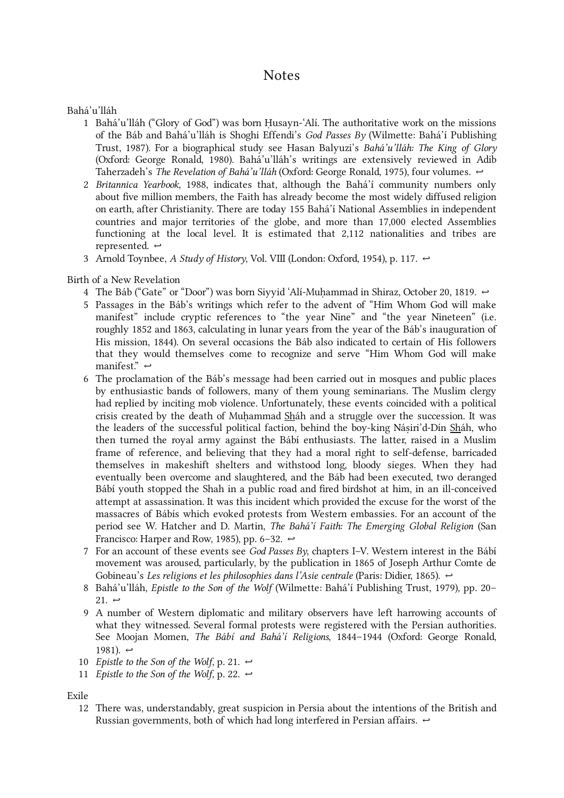# <span id="page-29-0"></span>Notes

Bahá'u'lláh

- <span id="page-29-1"></span>1 Bahá'u'lláh ("Glory of God") was born Ḥusayn-ʿAlí. The authoritative work on the missions of the Báb and Bahá'u'lláh is Shoghi Effendi's God Passes By (Wilmette: Bahá'í Publishing Trust, 1987). For a biographical study see Hasan Balyuzi's Bahá'u'lláh: The King of Glory (Oxford: George Ronald, 1980). Bahá'u'lláh's writings are extensively reviewed in Adib Taherzadeh's The Revelation of Bahá'u'lláh (Oxford: George Ronald, 1975), four volumes.  $\leftrightarrow$
- <span id="page-29-2"></span>2 Britannica Yearbook, 1988, indicates that, although the Bahá'í community numbers only about five million members, the Faith has already become the most widely diffused religion on earth, after Christianity. There are today 155 Bahá'í National Assemblies in independent countries and major territories of the globe, and more than 17,000 elected Assemblies functioning at the local level. It is estimated that 2,112 nationalities and tribes are represented. [↩](#page-1-1)
- <span id="page-29-3"></span>3 Arnold Toynbee, A Study of History, Vol. VIII (London: Oxford, 1954), p. 117.  $\leftrightarrow$

Birth of a New Revelation

- <span id="page-29-4"></span>4 The Báb ("Gate" or "Door") was born Siyyid 'Alí-Muḥammad in Shiraz, October 20, 1819.  $\leftrightarrow$
- <span id="page-29-5"></span>Passages in the Báb's writings which refer to the advent of "Him Whom God will make 5 manifest" include cryptic references to "the year Nine" and "the year Nineteen" (i.e. roughly 1852 and 1863, calculating in lunar years from the year of the Báb's inauguration of His mission, 1844). On several occasions the Báb also indicated to certain of His followers that they would themselves come to recognize and serve "Him Whom God will make manifest."  $\leftrightarrow$
- <span id="page-29-6"></span>The proclamation of the Báb's message had been carried out in mosques and public places 6 by enthusiastic bands of followers, many of them young seminarians. The Muslim clergy had replied by inciting mob violence. Unfortunately, these events coincided with a political crisis created by the death of Muhammad Sháh and a struggle over the succession. It was the leaders of the successful political faction, behind the boy-king Násiri'd-Dín Sháh, who then turned the royal army against the Bábí enthusiasts. The latter, raised in a Muslim frame of reference, and believing that they had a moral right to self-defense, barricaded themselves in makeshift shelters and withstood long, bloody sieges. When they had eventually been overcome and slaughtered, and the Báb had been executed, two deranged Bábí youth stopped the Shah in a public road and fired birdshot at him, in an ill-conceived attempt at assassination. It was this incident which provided the excuse for the worst of the massacres of Bábís which evoked protests from Western embassies. For an account of the period see W. Hatcher and D. Martin, The Bahá'í Faith: The Emerging Global Religion (San Francisco: Harper and Row, 1985), pp. 6–32.  $\leftrightarrow$
- <span id="page-29-7"></span>7 For an account of these events see *God Passes By*, chapters I–V. Western interest in the Bábí movement was aroused, particularly, by the publication in 1865 of Joseph Arthur Comte de Gobineau's Les religions et les philosophies dans l'Asie centrale (Paris: Didier, 1865).  $\leftrightarrow$
- <span id="page-29-8"></span>8 Bahá'u'lláh, *Epistle to the Son of the Wolf* (Wilmette: Bahá'í Publishing Trust, 1979), pp. 20–  $21. \leftrightarrow$
- <span id="page-29-9"></span>9 A number of Western diplomatic and military observers have left harrowing accounts of what they witnessed. Several formal protests were registered with the Persian authorities. See Moojan Momen, The Bábí and Bahá'í Religions, 1844–1944 (Oxford: George Ronald, 1981).  $\leftrightarrow$
- <span id="page-29-10"></span>10 *Epistle to the Son of the Wolf*, p. 21.  $\leftrightarrow$
- <span id="page-29-11"></span>11 *Epistle to the Son of the Wolf*, p. 22.  $\leftrightarrow$

Exile

<span id="page-29-12"></span>There was, understandably, great suspicion in Persia about the intentions of the British and 12Russian governments, both of which had long interfered in Persian affairs.  $\leftrightarrow$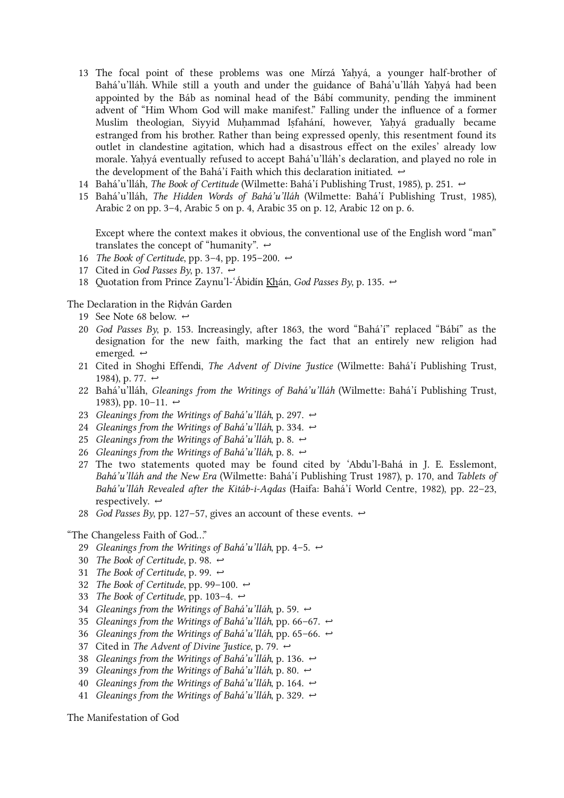- <span id="page-30-0"></span>The focal point of these problems was one Mírzá Yaḥyá, a younger half-brother of 13 Bahá'u'lláh. While still a youth and under the guidance of Bahá'u'lláh Yaḥyá had been appointed by the Báb as nominal head of the Bábí community, pending the imminent advent of "Him Whom God will make manifest." Falling under the influence of a former Muslim theologian, Siyyid Muḥammad Iṣfahání, however, Yaḥyá gradually became estranged from his brother. Rather than being expressed openly, this resentment found its outlet in clandestine agitation, which had a disastrous effect on the exiles' already low morale. Yaḥyá eventually refused to accept Bahá'u'lláh's declaration, and played no role in the development of the Bahá'í Faith which this declaration initiated.  $\leftrightarrow$
- <span id="page-30-1"></span>14 Bahá'u'lláh, *The Book of Certitude* (Wilmette: Bahá'í Publishing Trust, 1985), p. 251.  $\leftrightarrow$
- <span id="page-30-2"></span>15 Bahá'u'lláh, *The Hidden Words of Bahá'u'lláh* (Wilmette: Bahá'í Publishing Trust, 1985), Arabic 2 on pp. 3–4, Arabic 5 on p. 4, Arabic 35 on p. 12, Arabic 12 on p. 6.

Except where the context makes it obvious, the conventional use of the English word "man" translates the concept of "humanity".  $\leftrightarrow$ 

- <span id="page-30-3"></span>16 The Book of Certitude, pp. 3–4, pp. 195–200.  $\leftrightarrow$
- <span id="page-30-4"></span>17 Cited in *God Passes By*, p. 137.  $\leftrightarrow$
- <span id="page-30-5"></span>18 Quotation from Prince Zaynu'l-'Abidín <u>Kh</u>án, God Passes By, p. 135.  $\leftrightarrow$

The Declaration in the Riḍván Garden

- <span id="page-30-6"></span>19 See Note 68 below.  $\leftrightarrow$
- <span id="page-30-7"></span>God Passes By, p. 153. Increasingly, after 1863, the word "Bahá'í" replaced "Bábí" as the 20 designation for the new faith, marking the fact that an entirely new religion had emerged.  $\leftrightarrow$
- <span id="page-30-8"></span>21 Cited in Shoghi Effendi, *The Advent of Divine Justice* (Wilmette: Bahá'í Publishing Trust, 1984), p. 77.  $\leftrightarrow$
- <span id="page-30-9"></span>22 Bahá'u'lláh, *Gleanings from the Writings of Bahá'u'lláh* (Wilmette: Bahá'í Publishing Trust, 1983), pp. 10–11. ←
- <span id="page-30-10"></span>23 Gleanings from the Writings of Bahá'u'lláh, p. 297.  $\leftrightarrow$
- <span id="page-30-11"></span>24 Gleanings from the Writings of Bahá'u'lláh, p. 334.  $\leftrightarrow$
- <span id="page-30-12"></span>25 Gleanings from the Writings of Bahá'u'lláh, p. 8.  $\leftrightarrow$
- <span id="page-30-13"></span>26 Gleanings from the Writings of Bahá'u'lláh, p. 8.  $\leftrightarrow$
- <span id="page-30-14"></span>The two statements quoted may be found cited by 'Abdu'l‑Bahá in J. E. Esslemont, 27 Bahá'u'lláh and the New Era (Wilmette: Bahá'í Publishing Trust 1987), p. 170, and Tablets of Bahá'u'lláh Revealed after the Kitáb-i-Aqdas (Haifa: Bahá'í World Centre, 1982), pp. 22–23, respectively.  $\leftrightarrow$
- <span id="page-30-15"></span>28 God Passes By, pp. 127–57, gives an account of these events.  $\leftrightarrow$
- <span id="page-30-22"></span><span id="page-30-21"></span><span id="page-30-20"></span><span id="page-30-19"></span><span id="page-30-18"></span><span id="page-30-17"></span><span id="page-30-16"></span>"The Changeless Faith of God…"
	- 29 Gleanings from the Writings of Bahá'u'lláh, pp. 4–5.  $\leftrightarrow$
	- 30 The Book of Certitude, p. 98.  $\leftrightarrow$
	- 31 The Book of Certitude, p. 99.  $\leftrightarrow$
	- 32 The Book of Certitude, pp. 99–100.  $\leftrightarrow$
	- 33 The Book of Certitude, pp. 103–4.  $\leftrightarrow$
	- 34 Gleanings from the Writings of Bahá'u'lláh, p. 59.  $\leftrightarrow$
	- 35 Gleanings from the Writings of Bahá'u'lláh, pp. 66–67.  $\leftrightarrow$
	- 36 Gleanings from the Writings of Bahá'u'lláh, pp. 65–66.  $\leftrightarrow$
	- 37 Cited in *The Advent of Divine Justice*, p. 79.  $\leftrightarrow$
	- 38 Gleanings from the Writings of Bahá'u'lláh, p. 136.  $\leftrightarrow$
	- 39 Gleanings from the Writings of Bahá'u'lláh, p. 80.  $\leftrightarrow$
	- 40 Gleanings from the Writings of Bahá'u'lláh, p. 164.  $\leftrightarrow$
	- 41 Gleanings from the Writings of Bahá'u'lláh, p. 329.  $\leftrightarrow$

<span id="page-30-28"></span><span id="page-30-27"></span><span id="page-30-26"></span><span id="page-30-25"></span><span id="page-30-24"></span><span id="page-30-23"></span>The Manifestation of God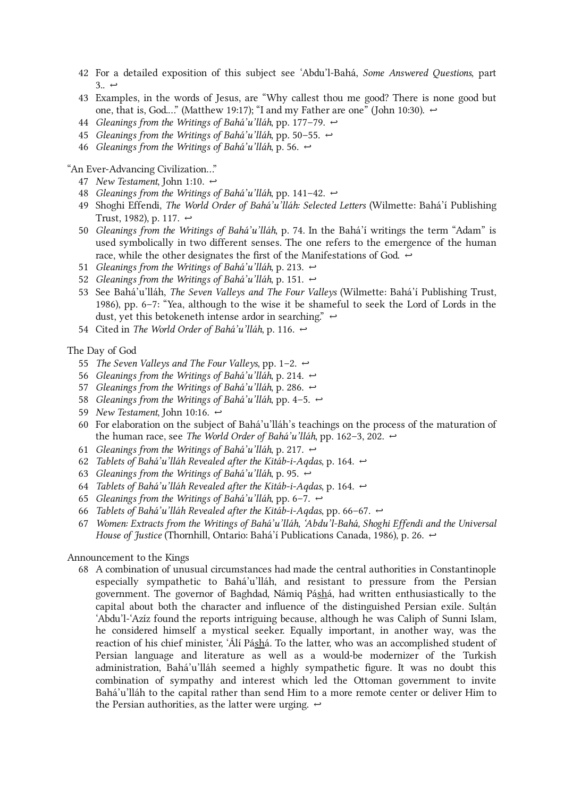- <span id="page-31-0"></span>42 For a detailed exposition of this subject see 'Abdu'l-Bahá, *Some Answered Questions*, part  $3.6 \leftrightarrow$
- <span id="page-31-1"></span>Examples, in the words of Jesus, are "Why callest thou me good? There is none good but 43 one, that is, God..." (Matthew 19:17); "I and my Father are one" (John 10:30).  $\leftrightarrow$
- <span id="page-31-2"></span>44 Gleanings from the Writings of Bahá'u'lláh, pp. 177–79.  $\leftrightarrow$
- <span id="page-31-3"></span>45 Gleanings from the Writings of Bahá'u'lláh, pp. 50–55.  $\leftrightarrow$
- <span id="page-31-4"></span>46 Gleanings from the Writings of Bahá'u'lláh, p. 56.  $\leftrightarrow$

"An Ever-Advancing Civilization…"

- <span id="page-31-5"></span>47 New Testament, John 1:10.  $\leftrightarrow$
- <span id="page-31-6"></span>48 Gleanings from the Writings of Bahá'u'lláh, pp. 141–42.  $\leftrightarrow$
- <span id="page-31-7"></span>49 Shoghi Effendi, *The World Order of Bahá'u'lláh: Selected Letters* (Wilmette: Bahá'í Publishing Trust, 1982), p. 117.  $\leftrightarrow$
- <span id="page-31-8"></span>50 Gleanings from the Writings of Bahá'u'lláh, p. 74. In the Bahá'í writings the term "Adam" is used symbolically in two different senses. The one refers to the emergence of the human race, while the other designates the first of the Manifestations of God.  $\leftrightarrow$
- <span id="page-31-9"></span>51 Gleanings from the Writings of Bahá'u'lláh, p. 213.  $\leftrightarrow$
- <span id="page-31-10"></span>52 Gleanings from the Writings of Bahá'u'lláh, p. 151.  $\leftrightarrow$
- <span id="page-31-11"></span>53 See Bahá'u'lláh, *The Seven Valleys and The Four Valleys* (Wilmette: Bahá'í Publishing Trust, 1986), pp. 6–7: "Yea, although to the wise it be shameful to seek the Lord of Lords in the dust, yet this betokeneth intense ardor in searching."  $\leftrightarrow$
- <span id="page-31-12"></span>54 Cited in *The World Order of Bahá'u'lláh*, p. 116.  $\leftrightarrow$

The Day of God

- <span id="page-31-13"></span>55 The Seven Valleys and The Four Valleys, pp. 1–2.  $\leftrightarrow$
- <span id="page-31-14"></span>56 Gleanings from the Writings of Bahá'u'lláh, p. 214.  $\leftrightarrow$
- <span id="page-31-15"></span>57 Gleanings from the Writings of Bahá'u'lláh, p. 286.  $\leftrightarrow$
- <span id="page-31-16"></span>58 Gleanings from the Writings of Bahá'u'lláh, pp. 4–5.  $\leftrightarrow$
- <span id="page-31-17"></span>59 New Testament, John 10:16.  $\leftrightarrow$
- <span id="page-31-18"></span>For elaboration on the subject of Bahá'u'lláh's teachings on the process of the maturation of 60 the human race, see The World Order of Bahá'u'lláh, pp. 162-3, 202.  $\leftrightarrow$
- <span id="page-31-19"></span>61 Gleanings from the Writings of Bahá'u'lláh, p. 217.  $\leftrightarrow$
- <span id="page-31-20"></span>62 Tablets of Bahá'u'lláh Revealed after the Kitáb-i-Aqdas, p. 164.  $\leftrightarrow$
- <span id="page-31-21"></span>63 Gleanings from the Writings of Bahá'u'lláh, p. 95.  $\leftrightarrow$
- <span id="page-31-22"></span>64 Tablets of Bahá'u'lláh Revealed after the Kitáb-i-Aqdas, p. 164.  $\leftrightarrow$
- <span id="page-31-23"></span>65 Gleanings from the Writings of Bahá'u'lláh, pp. 6–7.  $\leftrightarrow$
- <span id="page-31-24"></span>66 Tablets of Bahá'u'lláh Revealed after the Kitáb-i-Aqdas, pp. 66–67.  $\leftrightarrow$
- <span id="page-31-25"></span>Women: Extracts from the Writings of Bahá'u'lláh, 'Abdu'l‑Bahá, Shoghi Effendi and the Universal 67 House of Justice (Thornhill, Ontario: Bahá'í Publications Canada, 1986), p. 26.  $\leftrightarrow$

Announcement to the Kings

<span id="page-31-26"></span>A combination of unusual circumstances had made the central authorities in Constantinople 68especially sympathetic to Bahá'u'lláh, and resistant to pressure from the Persian government. The governor of Baghdad, Námiq Páshá, had written enthusiastically to the capital about both the character and influence of the distinguished Persian exile. Sultán 'Abdu'l-'Azíz found the reports intriguing because, although he was Caliph of Sunni Islam, he considered himself a mystical seeker. Equally important, in another way, was the reaction of his chief minister, 'Álí Páshá. To the latter, who was an accomplished student of Persian language and literature as well as a would-be modernizer of the Turkish administration, Bahá'u'lláh seemed a highly sympathetic figure. It was no doubt this combination of sympathy and interest which led the Ottoman government to invite Bahá'u'lláh to the capital rather than send Him to a more remote center or deliver Him to the Persian authorities, as the latter were urging.  $\leftrightarrow$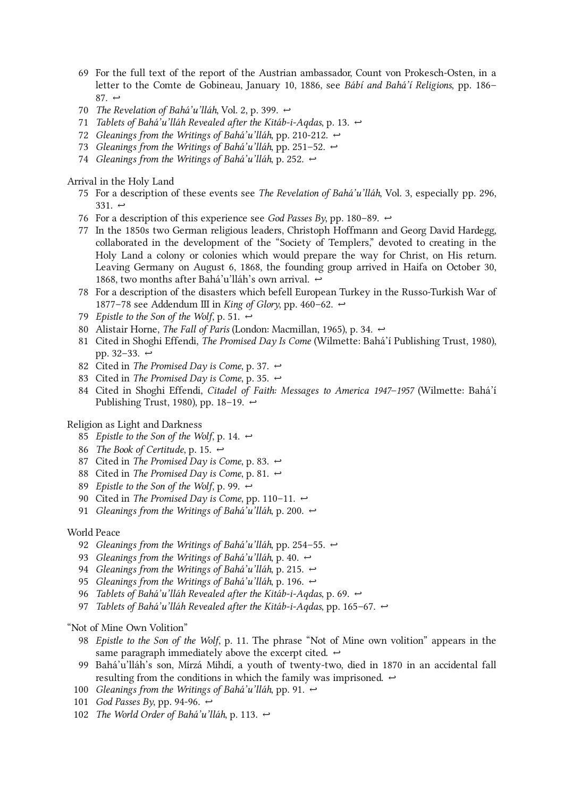- <span id="page-32-0"></span>For the full text of the report of the Austrian ambassador, Count von Prokesch-Osten, in a 69 letter to the Comte de Gobineau, January 10, 1886, see Bábí and Bahá'í Religions, pp. 186– 87.  $\leftrightarrow$
- <span id="page-32-1"></span>70 The Revelation of Bahá'u'lláh, Vol. 2, p. 399.  $\leftrightarrow$
- <span id="page-32-2"></span>71 Tablets of Bahá'u'lláh Revealed after the Kitáb-i-Aqdas, p. 13.  $\leftrightarrow$
- <span id="page-32-3"></span>72 Gleanings from the Writings of Bahá'u'lláh, pp. 210-212.  $\leftrightarrow$
- <span id="page-32-4"></span>73 Gleanings from the Writings of Bahá'u'lláh, pp. 251–52.  $\leftrightarrow$
- <span id="page-32-5"></span>74 Gleanings from the Writings of Bahá'u'lláh, p. 252.  $\leftrightarrow$

Arrival in the Holy Land

- <span id="page-32-6"></span>75 For a description of these events see The Revelation of Bahá'u'lláh, Vol. 3, especially pp. 296, 331.  $\leftrightarrow$
- <span id="page-32-7"></span>76 For a description of this experience see God Passes By, pp. 180–89.  $\leftrightarrow$
- <span id="page-32-8"></span>77 In the 1850s two German religious leaders, Christoph Hoffmann and Georg David Hardegg, collaborated in the development of the "Society of Templers," devoted to creating in the Holy Land a colony or colonies which would prepare the way for Christ, on His return. Leaving Germany on August 6, 1868, the founding group arrived in Haifa on October 30, 1868, two months after Bahá'u'lláh's own arrival.  $\leftrightarrow$
- <span id="page-32-9"></span>For a description of the disasters which befell European Turkey in the Russo-Turkish War of 78 1877–78 see Addendum III in King of Glory, pp. 460–62.  $\leftrightarrow$
- <span id="page-32-10"></span>79 Epistle to the Son of the Wolf, p. 51.  $\leftrightarrow$
- <span id="page-32-11"></span>80 Alistair Horne, *The Fall of Paris* (London: Macmillan, 1965), p. 34.  $\leftrightarrow$
- <span id="page-32-12"></span>81 Cited in Shoghi Effendi, *The Promised Day Is Come* (Wilmette: Bahá'í Publishing Trust, 1980), pp. 32–33.  $\leftrightarrow$
- <span id="page-32-13"></span>82 Cited in *The Promised Day is Come*, p. 37.  $\leftrightarrow$
- <span id="page-32-14"></span>83 Cited in *The Promised Day is Come*, p. 35.  $\leftrightarrow$
- <span id="page-32-15"></span>84 Cited in Shoghi Effendi, *Citadel of Faith: Messages to America 1947–1957* (Wilmette: Bahá'í Publishing Trust, 1980), pp. 18–19.  $\leftrightarrow$

Religion as Light and Darkness

- <span id="page-32-16"></span>85 Epistle to the Son of the Wolf, p. 14.  $\leftrightarrow$
- <span id="page-32-17"></span>86 The Book of Certitude, p. 15.  $\leftrightarrow$
- <span id="page-32-18"></span>87 Cited in *The Promised Day is Come*, p. 83.  $\leftrightarrow$
- <span id="page-32-19"></span>88 Cited in *The Promised Day is Come*, p. 81.  $\leftrightarrow$
- <span id="page-32-20"></span>89 Epistle to the Son of the Wolf, p. 99.  $\leftrightarrow$
- <span id="page-32-21"></span>90 Cited in *The Promised Day is Come*, pp. 110–11.  $\leftrightarrow$
- <span id="page-32-22"></span>91 Gleanings from the Writings of Bahá'u'lláh, p. 200.  $\leftrightarrow$

#### World Peace

- <span id="page-32-23"></span>92 Gleanings from the Writings of Bahá'u'lláh, pp. 254–55.  $\leftrightarrow$
- <span id="page-32-24"></span>93 Gleanings from the Writings of Bahá'u'lláh, p. 40.  $\leftrightarrow$
- <span id="page-32-25"></span>94 Gleanings from the Writings of Bahá'u'lláh, p. 215.  $\leftrightarrow$
- <span id="page-32-26"></span>95 Gleanings from the Writings of Bahá'u'lláh, p. 196.  $\leftrightarrow$
- <span id="page-32-27"></span>96 Tablets of Bahá'u'lláh Revealed after the Kitáb-i-Aqdas, p. 69.  $\leftrightarrow$
- <span id="page-32-28"></span>97 Tablets of Bahá'u'lláh Revealed after the Kitáb-i-Aqdas, pp. 165–67.  $\leftrightarrow$

"Not of Mine Own Volition"

- <span id="page-32-29"></span>98 *Epistle to the Son of the Wolf*, p. 11. The phrase "Not of Mine own volition" appears in the same paragraph immediately above the excerpt cited.  $\leftrightarrow$
- <span id="page-32-30"></span>Bahá'u'lláh's son, Mírzá Mihdí, a youth of twenty-two, died in 1870 in an accidental fall 99 resulting from the conditions in which the family was imprisoned.  $\leftrightarrow$
- <span id="page-32-31"></span>100 Gleanings from the Writings of Bahá'u'lláh, pp. 91.  $\leftrightarrow$
- <span id="page-32-32"></span>101 God Passes By, pp. 94-96.  $\leftrightarrow$
- <span id="page-32-33"></span>102 The World Order of Bahá'u'lláh, p. 113.  $\leftrightarrow$